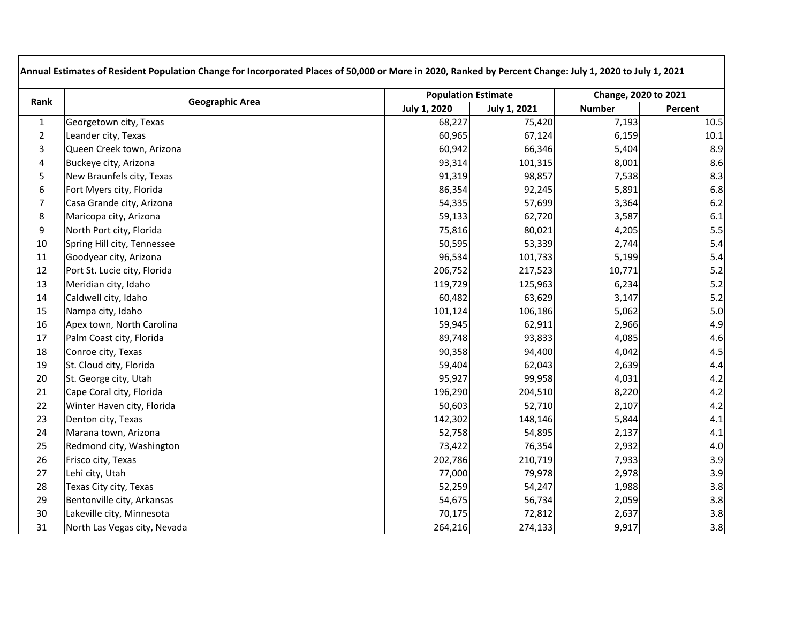| Rank             | <b>Geographic Area</b>       |                     | <b>Population Estimate</b> |               | Change, 2020 to 2021 |
|------------------|------------------------------|---------------------|----------------------------|---------------|----------------------|
|                  |                              | <b>July 1, 2020</b> | <b>July 1, 2021</b>        | <b>Number</b> | Percent              |
| $1\,$            | Georgetown city, Texas       | 68,227              | 75,420                     | 7,193         | 10.5                 |
| $\overline{2}$   | Leander city, Texas          | 60,965              | 67,124                     | 6,159         | 10.1                 |
| 3                | Queen Creek town, Arizona    | 60,942              | 66,346                     | 5,404         | 8.9                  |
| 4                | Buckeye city, Arizona        | 93,314              | 101,315                    | 8,001         | 8.6                  |
| 5                | New Braunfels city, Texas    | 91,319              | 98,857                     | 7,538         | 8.3                  |
| $\boldsymbol{6}$ | Fort Myers city, Florida     | 86,354              | 92,245                     | 5,891         | 6.8                  |
| $\overline{7}$   | Casa Grande city, Arizona    | 54,335              | 57,699                     | 3,364         | 6.2                  |
| $\bf 8$          | Maricopa city, Arizona       | 59,133              | 62,720                     | 3,587         | 6.1                  |
| 9                | North Port city, Florida     | 75,816              | 80,021                     | 4,205         | 5.5                  |
| 10               | Spring Hill city, Tennessee  | 50,595              | 53,339                     | 2,744         | 5.4                  |
| 11               | Goodyear city, Arizona       | 96,534              | 101,733                    | 5,199         | 5.4                  |
| 12               | Port St. Lucie city, Florida | 206,752             | 217,523                    | 10,771        | 5.2                  |
| 13               | Meridian city, Idaho         | 119,729             | 125,963                    | 6,234         | 5.2                  |
| 14               | Caldwell city, Idaho         | 60,482              | 63,629                     | 3,147         | 5.2                  |
| 15               | Nampa city, Idaho            | 101,124             | 106,186                    | 5,062         | 5.0                  |
| 16               | Apex town, North Carolina    | 59,945              | 62,911                     | 2,966         | 4.9                  |
| 17               | Palm Coast city, Florida     | 89,748              | 93,833                     | 4,085         | 4.6                  |
| 18               | Conroe city, Texas           | 90,358              | 94,400                     | 4,042         | 4.5                  |
| 19               | St. Cloud city, Florida      | 59,404              | 62,043                     | 2,639         | 4.4                  |
| 20               | St. George city, Utah        | 95,927              | 99,958                     | 4,031         | 4.2                  |
| 21               | Cape Coral city, Florida     | 196,290             | 204,510                    | 8,220         | 4.2                  |
| 22               | Winter Haven city, Florida   | 50,603              | 52,710                     | 2,107         | 4.2                  |
| 23               | Denton city, Texas           | 142,302             | 148,146                    | 5,844         | 4.1                  |
| 24               | Marana town, Arizona         | 52,758              | 54,895                     | 2,137         | 4.1                  |
| 25               | Redmond city, Washington     | 73,422              | 76,354                     | 2,932         | 4.0                  |
| 26               | Frisco city, Texas           | 202,786             | 210,719                    | 7,933         | 3.9                  |
| 27               | Lehi city, Utah              | 77,000              | 79,978                     | 2,978         | 3.9                  |
| 28               | Texas City city, Texas       | 52,259              | 54,247                     | 1,988         | 3.8                  |
| 29               | Bentonville city, Arkansas   | 54,675              | 56,734                     | 2,059         | 3.8                  |
| 30               | Lakeville city, Minnesota    | 70,175              | 72,812                     | 2,637         | 3.8                  |
| 31               | North Las Vegas city, Nevada | 264,216             | 274,133                    | 9,917         | 3.8                  |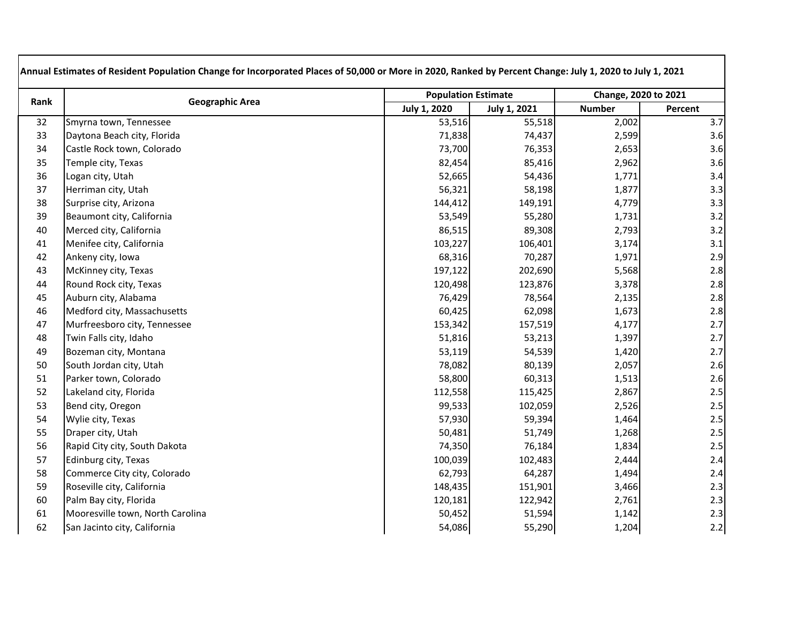| Rank | <b>Geographic Area</b>           |                     | <b>Population Estimate</b> |               | Change, 2020 to 2021 |  |
|------|----------------------------------|---------------------|----------------------------|---------------|----------------------|--|
|      |                                  | <b>July 1, 2020</b> | <b>July 1, 2021</b>        | <b>Number</b> | Percent              |  |
| 32   | Smyrna town, Tennessee           | 53,516              | 55,518                     | 2,002         | 3.7                  |  |
| 33   | Daytona Beach city, Florida      | 71,838              | 74,437                     | 2,599         | 3.6                  |  |
| 34   | Castle Rock town, Colorado       | 73,700              | 76,353                     | 2,653         | 3.6                  |  |
| 35   | Temple city, Texas               | 82,454              | 85,416                     | 2,962         | 3.6                  |  |
| 36   | Logan city, Utah                 | 52,665              | 54,436                     | 1,771         | 3.4                  |  |
| 37   | Herriman city, Utah              | 56,321              | 58,198                     | 1,877         | 3.3                  |  |
| 38   | Surprise city, Arizona           | 144,412             | 149,191                    | 4,779         | 3.3                  |  |
| 39   | Beaumont city, California        | 53,549              | 55,280                     | 1,731         | 3.2                  |  |
| 40   | Merced city, California          | 86,515              | 89,308                     | 2,793         | 3.2                  |  |
| 41   | Menifee city, California         | 103,227             | 106,401                    | 3,174         | 3.1                  |  |
| 42   | Ankeny city, Iowa                | 68,316              | 70,287                     | 1,971         | 2.9                  |  |
| 43   | McKinney city, Texas             | 197,122             | 202,690                    | 5,568         | 2.8                  |  |
| 44   | Round Rock city, Texas           | 120,498             | 123,876                    | 3,378         | 2.8                  |  |
| 45   | Auburn city, Alabama             | 76,429              | 78,564                     | 2,135         | 2.8                  |  |
| 46   | Medford city, Massachusetts      | 60,425              | 62,098                     | 1,673         | 2.8                  |  |
| 47   | Murfreesboro city, Tennessee     | 153,342             | 157,519                    | 4,177         | 2.7                  |  |
| 48   | Twin Falls city, Idaho           | 51,816              | 53,213                     | 1,397         | 2.7                  |  |
| 49   | Bozeman city, Montana            | 53,119              | 54,539                     | 1,420         | 2.7                  |  |
| 50   | South Jordan city, Utah          | 78,082              | 80,139                     | 2,057         | 2.6                  |  |
| 51   | Parker town, Colorado            | 58,800              | 60,313                     | 1,513         | 2.6                  |  |
| 52   | Lakeland city, Florida           | 112,558             | 115,425                    | 2,867         | 2.5                  |  |
| 53   | Bend city, Oregon                | 99,533              | 102,059                    | 2,526         | 2.5                  |  |
| 54   | Wylie city, Texas                | 57,930              | 59,394                     | 1,464         | 2.5                  |  |
| 55   | Draper city, Utah                | 50,481              | 51,749                     | 1,268         | 2.5                  |  |
| 56   | Rapid City city, South Dakota    | 74,350              | 76,184                     | 1,834         | 2.5                  |  |
| 57   | Edinburg city, Texas             | 100,039             | 102,483                    | 2,444         | 2.4                  |  |
| 58   | Commerce City city, Colorado     | 62,793              | 64,287                     | 1,494         | 2.4                  |  |
| 59   | Roseville city, California       | 148,435             | 151,901                    | 3,466         | 2.3                  |  |
| 60   | Palm Bay city, Florida           | 120,181             | 122,942                    | 2,761         | 2.3                  |  |
| 61   | Mooresville town, North Carolina | 50,452              | 51,594                     | 1,142         | 2.3                  |  |
| 62   | San Jacinto city, California     | 54,086              | 55,290                     | 1,204         | 2.2                  |  |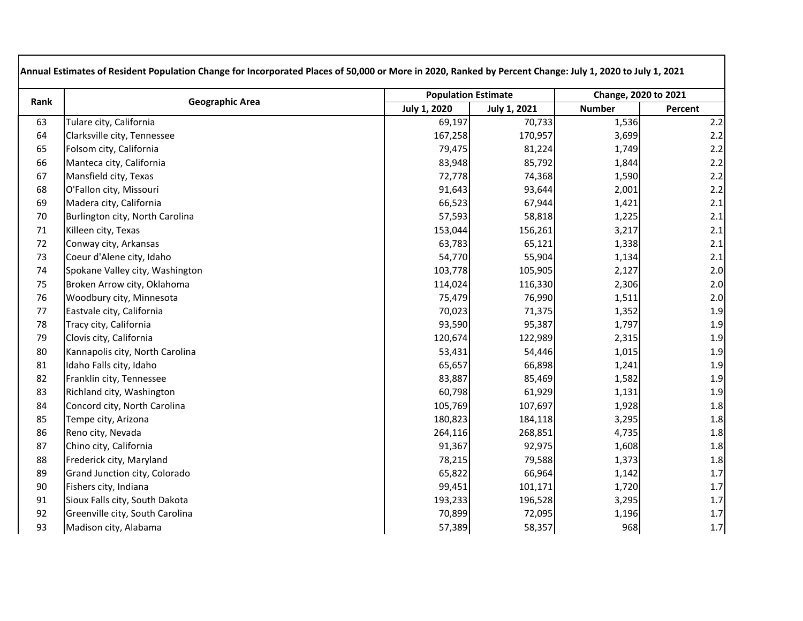| Rank   | <b>Geographic Area</b>          |                     | <b>Population Estimate</b> |               | Change, 2020 to 2021 |  |
|--------|---------------------------------|---------------------|----------------------------|---------------|----------------------|--|
|        |                                 | <b>July 1, 2020</b> | <b>July 1, 2021</b>        | <b>Number</b> | Percent              |  |
| 63     | Tulare city, California         | 69,197              | 70,733                     | 1,536         | 2.2                  |  |
| 64     | Clarksville city, Tennessee     | 167,258             | 170,957                    | 3,699         | 2.2                  |  |
| 65     | Folsom city, California         | 79,475              | 81,224                     | 1,749         | 2.2                  |  |
| 66     | Manteca city, California        | 83,948              | 85,792                     | 1,844         | 2.2                  |  |
| 67     | Mansfield city, Texas           | 72,778              | 74,368                     | 1,590         | 2.2                  |  |
| 68     | O'Fallon city, Missouri         | 91,643              | 93,644                     | 2,001         | 2.2                  |  |
| 69     | Madera city, California         | 66,523              | 67,944                     | 1,421         | 2.1                  |  |
| $70\,$ | Burlington city, North Carolina | 57,593              | 58,818                     | 1,225         | 2.1                  |  |
| 71     | Killeen city, Texas             | 153,044             | 156,261                    | 3,217         | 2.1                  |  |
| 72     | Conway city, Arkansas           | 63,783              | 65,121                     | 1,338         | 2.1                  |  |
| 73     | Coeur d'Alene city, Idaho       | 54,770              | 55,904                     | 1,134         | 2.1                  |  |
| 74     | Spokane Valley city, Washington | 103,778             | 105,905                    | 2,127         | 2.0                  |  |
| 75     | Broken Arrow city, Oklahoma     | 114,024             | 116,330                    | 2,306         | 2.0                  |  |
| 76     | Woodbury city, Minnesota        | 75,479              | 76,990                     | 1,511         | 2.0                  |  |
| 77     | Eastvale city, California       | 70,023              | 71,375                     | 1,352         | 1.9                  |  |
| 78     | Tracy city, California          | 93,590              | 95,387                     | 1,797         | 1.9                  |  |
| 79     | Clovis city, California         | 120,674             | 122,989                    | 2,315         | 1.9                  |  |
| 80     | Kannapolis city, North Carolina | 53,431              | 54,446                     | 1,015         | 1.9                  |  |
| 81     | Idaho Falls city, Idaho         | 65,657              | 66,898                     | 1,241         | 1.9                  |  |
| 82     | Franklin city, Tennessee        | 83,887              | 85,469                     | 1,582         | 1.9                  |  |
| 83     | Richland city, Washington       | 60,798              | 61,929                     | 1,131         | 1.9                  |  |
| 84     | Concord city, North Carolina    | 105,769             | 107,697                    | 1,928         | 1.8                  |  |
| 85     | Tempe city, Arizona             | 180,823             | 184,118                    | 3,295         | 1.8                  |  |
| 86     | Reno city, Nevada               | 264,116             | 268,851                    | 4,735         | 1.8                  |  |
| 87     | Chino city, California          | 91,367              | 92,975                     | 1,608         | 1.8                  |  |
| 88     | Frederick city, Maryland        | 78,215              | 79,588                     | 1,373         | 1.8                  |  |
| 89     | Grand Junction city, Colorado   | 65,822              | 66,964                     | 1,142         | 1.7                  |  |
| 90     | Fishers city, Indiana           | 99,451              | 101,171                    | 1,720         | 1.7                  |  |
| 91     | Sioux Falls city, South Dakota  | 193,233             | 196,528                    | 3,295         | $1.7\,$              |  |
| 92     | Greenville city, South Carolina | 70,899              | 72,095                     | 1,196         | $1.7$                |  |
| 93     | Madison city, Alabama           | 57,389              | 58,357                     | 968           | 1.7                  |  |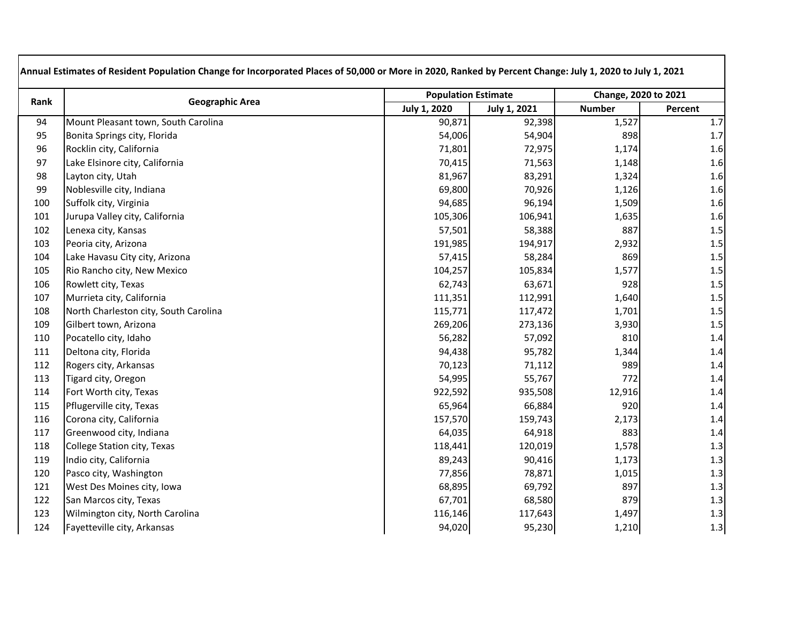| Rank | <b>Geographic Area</b>                |                     | <b>Population Estimate</b> |               | Change, 2020 to 2021 |  |
|------|---------------------------------------|---------------------|----------------------------|---------------|----------------------|--|
|      |                                       | <b>July 1, 2020</b> | <b>July 1, 2021</b>        | <b>Number</b> | Percent              |  |
| 94   | Mount Pleasant town, South Carolina   | 90,871              | 92,398                     | 1,527         | 1.7                  |  |
| 95   | Bonita Springs city, Florida          | 54,006              | 54,904                     | 898           | 1.7                  |  |
| 96   | Rocklin city, California              | 71,801              | 72,975                     | 1,174         | 1.6                  |  |
| 97   | Lake Elsinore city, California        | 70,415              | 71,563                     | 1,148         | 1.6                  |  |
| 98   | Layton city, Utah                     | 81,967              | 83,291                     | 1,324         | 1.6                  |  |
| 99   | Noblesville city, Indiana             | 69,800              | 70,926                     | 1,126         | 1.6                  |  |
| 100  | Suffolk city, Virginia                | 94,685              | 96,194                     | 1,509         | 1.6                  |  |
| 101  | Jurupa Valley city, California        | 105,306             | 106,941                    | 1,635         | 1.6                  |  |
| 102  | Lenexa city, Kansas                   | 57,501              | 58,388                     | 887           | 1.5                  |  |
| 103  | Peoria city, Arizona                  | 191,985             | 194,917                    | 2,932         | 1.5                  |  |
| 104  | Lake Havasu City city, Arizona        | 57,415              | 58,284                     | 869           | 1.5                  |  |
| 105  | Rio Rancho city, New Mexico           | 104,257             | 105,834                    | 1,577         | $1.5$                |  |
| 106  | Rowlett city, Texas                   | 62,743              | 63,671                     | 928           | 1.5                  |  |
| 107  | Murrieta city, California             | 111,351             | 112,991                    | 1,640         | 1.5                  |  |
| 108  | North Charleston city, South Carolina | 115,771             | 117,472                    | 1,701         | $1.5$                |  |
| 109  | Gilbert town, Arizona                 | 269,206             | 273,136                    | 3,930         | 1.5                  |  |
| 110  | Pocatello city, Idaho                 | 56,282              | 57,092                     | 810           | 1.4                  |  |
| 111  | Deltona city, Florida                 | 94,438              | 95,782                     | 1,344         | 1.4                  |  |
| 112  | Rogers city, Arkansas                 | 70,123              | 71,112                     | 989           | 1.4                  |  |
| 113  | Tigard city, Oregon                   | 54,995              | 55,767                     | 772           | 1.4                  |  |
| 114  | Fort Worth city, Texas                | 922,592             | 935,508                    | 12,916        | 1.4                  |  |
| 115  | Pflugerville city, Texas              | 65,964              | 66,884                     | 920           | 1.4                  |  |
| 116  | Corona city, California               | 157,570             | 159,743                    | 2,173         | 1.4                  |  |
| 117  | Greenwood city, Indiana               | 64,035              | 64,918                     | 883           | 1.4                  |  |
| 118  | College Station city, Texas           | 118,441             | 120,019                    | 1,578         | 1.3                  |  |
| 119  | Indio city, California                | 89,243              | 90,416                     | 1,173         | 1.3                  |  |
| 120  | Pasco city, Washington                | 77,856              | 78,871                     | 1,015         | 1.3                  |  |
| 121  | West Des Moines city, Iowa            | 68,895              | 69,792                     | 897           | 1.3                  |  |
| 122  | San Marcos city, Texas                | 67,701              | 68,580                     | 879           | 1.3                  |  |
| 123  | Wilmington city, North Carolina       | 116,146             | 117,643                    | 1,497         | 1.3                  |  |
| 124  | Fayetteville city, Arkansas           | 94,020              | 95,230                     | 1,210         | 1.3                  |  |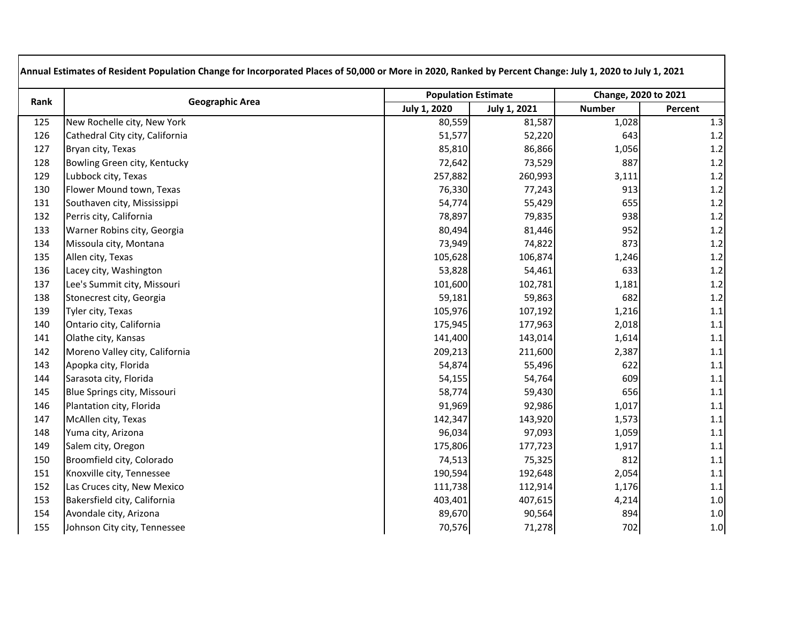| Rank | <b>Geographic Area</b>          |                     | <b>Population Estimate</b> |               | Change, 2020 to 2021 |  |
|------|---------------------------------|---------------------|----------------------------|---------------|----------------------|--|
|      |                                 | <b>July 1, 2020</b> | <b>July 1, 2021</b>        | <b>Number</b> | Percent              |  |
| 125  | New Rochelle city, New York     | 80,559              | 81,587                     | 1,028         | 1.3                  |  |
| 126  | Cathedral City city, California | 51,577              | 52,220                     | 643           | 1.2                  |  |
| 127  | Bryan city, Texas               | 85,810              | 86,866                     | 1,056         | 1.2                  |  |
| 128  | Bowling Green city, Kentucky    | 72,642              | 73,529                     | 887           | 1.2                  |  |
| 129  | Lubbock city, Texas             | 257,882             | 260,993                    | 3,111         | 1.2                  |  |
| 130  | Flower Mound town, Texas        | 76,330              | 77,243                     | 913           | 1.2                  |  |
| 131  | Southaven city, Mississippi     | 54,774              | 55,429                     | 655           | 1.2                  |  |
| 132  | Perris city, California         | 78,897              | 79,835                     | 938           | 1.2                  |  |
| 133  | Warner Robins city, Georgia     | 80,494              | 81,446                     | 952           | 1.2                  |  |
| 134  | Missoula city, Montana          | 73,949              | 74,822                     | 873           | 1.2                  |  |
| 135  | Allen city, Texas               | 105,628             | 106,874                    | 1,246         | 1.2                  |  |
| 136  | Lacey city, Washington          | 53,828              | 54,461                     | 633           | 1.2                  |  |
| 137  | Lee's Summit city, Missouri     | 101,600             | 102,781                    | 1,181         | 1.2                  |  |
| 138  | Stonecrest city, Georgia        | 59,181              | 59,863                     | 682           | 1.2                  |  |
| 139  | Tyler city, Texas               | 105,976             | 107,192                    | 1,216         | 1.1                  |  |
| 140  | Ontario city, California        | 175,945             | 177,963                    | 2,018         | 1.1                  |  |
| 141  | Olathe city, Kansas             | 141,400             | 143,014                    | 1,614         | 1.1                  |  |
| 142  | Moreno Valley city, California  | 209,213             | 211,600                    | 2,387         | 1.1                  |  |
| 143  | Apopka city, Florida            | 54,874              | 55,496                     | 622           | 1.1                  |  |
| 144  | Sarasota city, Florida          | 54,155              | 54,764                     | 609           | 1.1                  |  |
| 145  | Blue Springs city, Missouri     | 58,774              | 59,430                     | 656           | 1.1                  |  |
| 146  | Plantation city, Florida        | 91,969              | 92,986                     | 1,017         | 1.1                  |  |
| 147  | McAllen city, Texas             | 142,347             | 143,920                    | 1,573         | 1.1                  |  |
| 148  | Yuma city, Arizona              | 96,034              | 97,093                     | 1,059         | 1.1                  |  |
| 149  | Salem city, Oregon              | 175,806             | 177,723                    | 1,917         | 1.1                  |  |
| 150  | Broomfield city, Colorado       | 74,513              | 75,325                     | 812           | 1.1                  |  |
| 151  | Knoxville city, Tennessee       | 190,594             | 192,648                    | 2,054         | $1.1\,$              |  |
| 152  | Las Cruces city, New Mexico     | 111,738             | 112,914                    | 1,176         | 1.1                  |  |
| 153  | Bakersfield city, California    | 403,401             | 407,615                    | 4,214         | 1.0                  |  |
| 154  | Avondale city, Arizona          | 89,670              | 90,564                     | 894           | 1.0                  |  |
| 155  | Johnson City city, Tennessee    | 70,576              | 71,278                     | 702           | 1.0                  |  |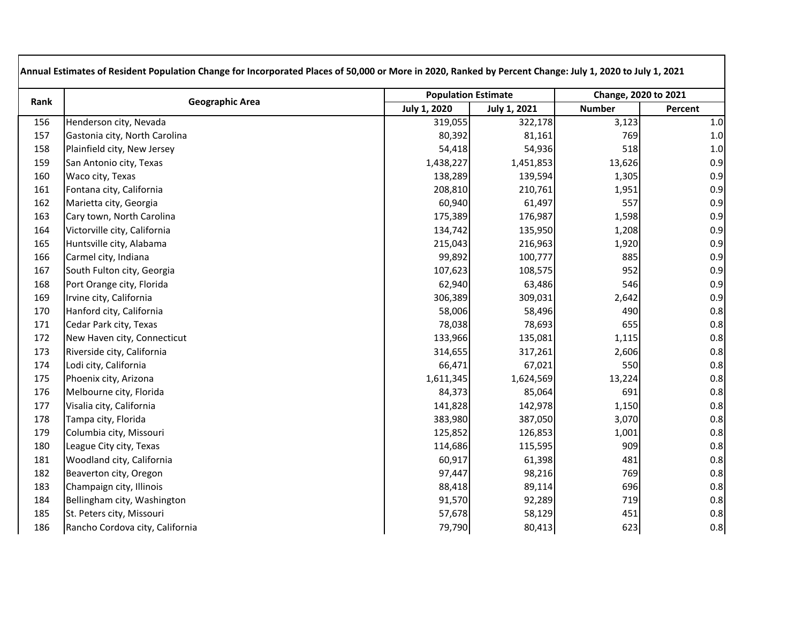| Rank | <b>Geographic Area</b>          |              | <b>Population Estimate</b> |               | Change, 2020 to 2021 |
|------|---------------------------------|--------------|----------------------------|---------------|----------------------|
|      |                                 | July 1, 2020 | July 1, 2021               | <b>Number</b> | Percent              |
| 156  | Henderson city, Nevada          | 319,055      | 322,178                    | 3,123         | 1.0                  |
| 157  | Gastonia city, North Carolina   | 80,392       | 81,161                     | 769           | 1.0                  |
| 158  | Plainfield city, New Jersey     | 54,418       | 54,936                     | 518           | 1.0                  |
| 159  | San Antonio city, Texas         | 1,438,227    | 1,451,853                  | 13,626        | 0.9                  |
| 160  | Waco city, Texas                | 138,289      | 139,594                    | 1,305         | 0.9                  |
| 161  | Fontana city, California        | 208,810      | 210,761                    | 1,951         | 0.9                  |
| 162  | Marietta city, Georgia          | 60,940       | 61,497                     | 557           | 0.9                  |
| 163  | Cary town, North Carolina       | 175,389      | 176,987                    | 1,598         | 0.9                  |
| 164  | Victorville city, California    | 134,742      | 135,950                    | 1,208         | 0.9                  |
| 165  | Huntsville city, Alabama        | 215,043      | 216,963                    | 1,920         | 0.9                  |
| 166  | Carmel city, Indiana            | 99,892       | 100,777                    | 885           | 0.9                  |
| 167  | South Fulton city, Georgia      | 107,623      | 108,575                    | 952           | 0.9                  |
| 168  | Port Orange city, Florida       | 62,940       | 63,486                     | 546           | 0.9                  |
| 169  | Irvine city, California         | 306,389      | 309,031                    | 2,642         | 0.9                  |
| 170  | Hanford city, California        | 58,006       | 58,496                     | 490           | 0.8                  |
| 171  | Cedar Park city, Texas          | 78,038       | 78,693                     | 655           | 0.8                  |
| 172  | New Haven city, Connecticut     | 133,966      | 135,081                    | 1,115         | 0.8                  |
| 173  | Riverside city, California      | 314,655      | 317,261                    | 2,606         | 0.8                  |
| 174  | Lodi city, California           | 66,471       | 67,021                     | 550           | 0.8                  |
| 175  | Phoenix city, Arizona           | 1,611,345    | 1,624,569                  | 13,224        | 0.8                  |
| 176  | Melbourne city, Florida         | 84,373       | 85,064                     | 691           | 0.8                  |
| 177  | Visalia city, California        | 141,828      | 142,978                    | 1,150         | 0.8                  |
| 178  | Tampa city, Florida             | 383,980      | 387,050                    | 3,070         | 0.8                  |
| 179  | Columbia city, Missouri         | 125,852      | 126,853                    | 1,001         | 0.8                  |
| 180  | League City city, Texas         | 114,686      | 115,595                    | 909           | 0.8                  |
| 181  | Woodland city, California       | 60,917       | 61,398                     | 481           | 0.8                  |
| 182  | Beaverton city, Oregon          | 97,447       | 98,216                     | 769           | 0.8                  |
| 183  | Champaign city, Illinois        | 88,418       | 89,114                     | 696           | 0.8                  |
| 184  | Bellingham city, Washington     | 91,570       | 92,289                     | 719           | 0.8                  |
| 185  | St. Peters city, Missouri       | 57,678       | 58,129                     | 451           | 0.8                  |
| 186  | Rancho Cordova city, California | 79,790       | 80,413                     | 623           | 0.8                  |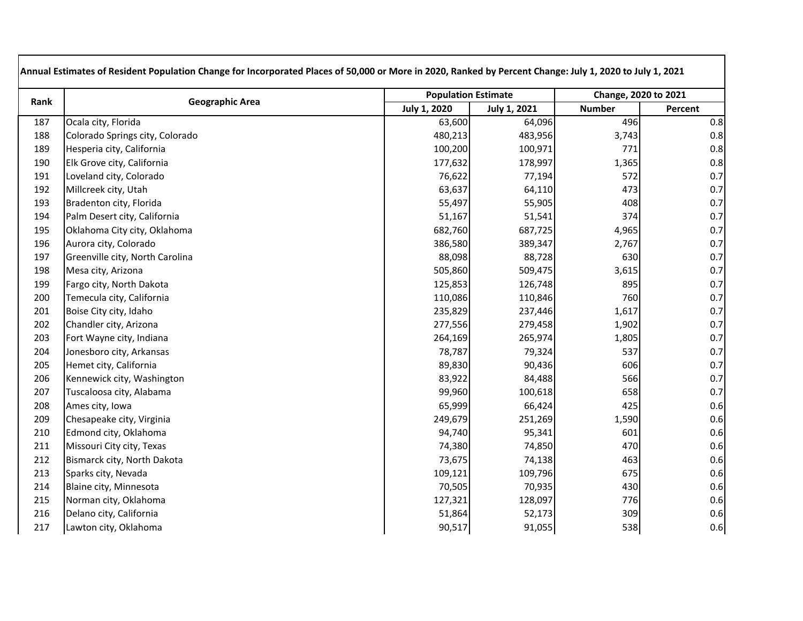| Rank | <b>Geographic Area</b>          |                     | <b>Population Estimate</b> |               | Change, 2020 to 2021 |  |
|------|---------------------------------|---------------------|----------------------------|---------------|----------------------|--|
|      |                                 | <b>July 1, 2020</b> | <b>July 1, 2021</b>        | <b>Number</b> | Percent              |  |
| 187  | Ocala city, Florida             | 63,600              | 64,096                     | 496           | 0.8                  |  |
| 188  | Colorado Springs city, Colorado | 480,213             | 483,956                    | 3,743         | 0.8                  |  |
| 189  | Hesperia city, California       | 100,200             | 100,971                    | 771           | 0.8                  |  |
| 190  | Elk Grove city, California      | 177,632             | 178,997                    | 1,365         | 0.8                  |  |
| 191  | Loveland city, Colorado         | 76,622              | 77,194                     | 572           | 0.7                  |  |
| 192  | Millcreek city, Utah            | 63,637              | 64,110                     | 473           | 0.7                  |  |
| 193  | Bradenton city, Florida         | 55,497              | 55,905                     | 408           | 0.7                  |  |
| 194  | Palm Desert city, California    | 51,167              | 51,541                     | 374           | 0.7                  |  |
| 195  | Oklahoma City city, Oklahoma    | 682,760             | 687,725                    | 4,965         | 0.7                  |  |
| 196  | Aurora city, Colorado           | 386,580             | 389,347                    | 2,767         | 0.7                  |  |
| 197  | Greenville city, North Carolina | 88,098              | 88,728                     | 630           | 0.7                  |  |
| 198  | Mesa city, Arizona              | 505,860             | 509,475                    | 3,615         | 0.7                  |  |
| 199  | Fargo city, North Dakota        | 125,853             | 126,748                    | 895           | 0.7                  |  |
| 200  | Temecula city, California       | 110,086             | 110,846                    | 760           | 0.7                  |  |
| 201  | Boise City city, Idaho          | 235,829             | 237,446                    | 1,617         | 0.7                  |  |
| 202  | Chandler city, Arizona          | 277,556             | 279,458                    | 1,902         | 0.7                  |  |
| 203  | Fort Wayne city, Indiana        | 264,169             | 265,974                    | 1,805         | 0.7                  |  |
| 204  | Jonesboro city, Arkansas        | 78,787              | 79,324                     | 537           | 0.7                  |  |
| 205  | Hemet city, California          | 89,830              | 90,436                     | 606           | 0.7                  |  |
| 206  | Kennewick city, Washington      | 83,922              | 84,488                     | 566           | 0.7                  |  |
| 207  | Tuscaloosa city, Alabama        | 99,960              | 100,618                    | 658           | 0.7                  |  |
| 208  | Ames city, Iowa                 | 65,999              | 66,424                     | 425           | 0.6                  |  |
| 209  | Chesapeake city, Virginia       | 249,679             | 251,269                    | 1,590         | 0.6                  |  |
| 210  | Edmond city, Oklahoma           | 94,740              | 95,341                     | 601           | 0.6                  |  |
| 211  | Missouri City city, Texas       | 74,380              | 74,850                     | 470           | 0.6                  |  |
| 212  | Bismarck city, North Dakota     | 73,675              | 74,138                     | 463           | 0.6                  |  |
| 213  | Sparks city, Nevada             | 109,121             | 109,796                    | 675           | 0.6                  |  |
| 214  | Blaine city, Minnesota          | 70,505              | 70,935                     | 430           | 0.6                  |  |
| 215  | Norman city, Oklahoma           | 127,321             | 128,097                    | 776           | 0.6                  |  |
| 216  | Delano city, California         | 51,864              | 52,173                     | 309           | 0.6                  |  |
| 217  | Lawton city, Oklahoma           | 90,517              | 91,055                     | 538           | 0.6                  |  |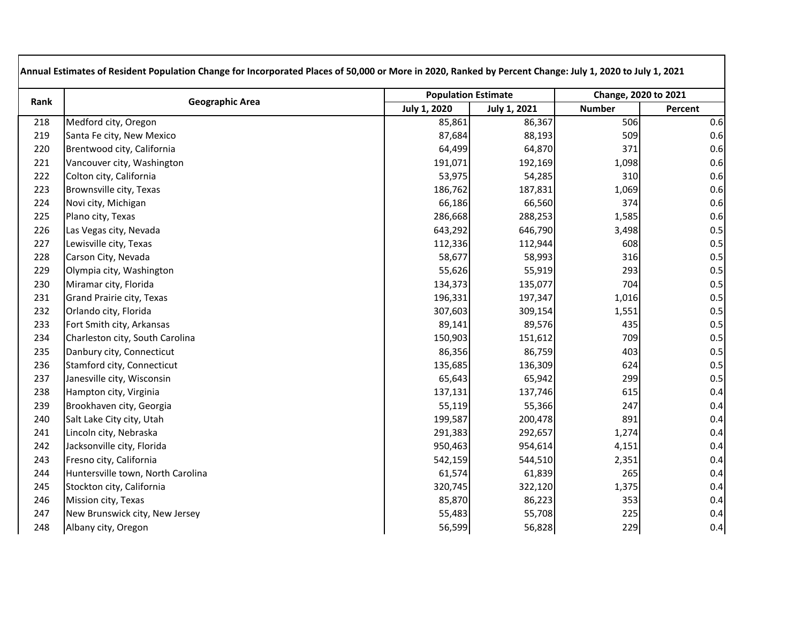| Rank | <b>Geographic Area</b>            |                     | <b>Population Estimate</b> |               | Change, 2020 to 2021 |
|------|-----------------------------------|---------------------|----------------------------|---------------|----------------------|
|      |                                   | <b>July 1, 2020</b> | <b>July 1, 2021</b>        | <b>Number</b> | Percent              |
| 218  | Medford city, Oregon              | 85,861              | 86,367                     | 506           | 0.6                  |
| 219  | Santa Fe city, New Mexico         | 87,684              | 88,193                     | 509           | 0.6                  |
| 220  | Brentwood city, California        | 64,499              | 64,870                     | 371           | 0.6                  |
| 221  | Vancouver city, Washington        | 191,071             | 192,169                    | 1,098         | 0.6                  |
| 222  | Colton city, California           | 53,975              | 54,285                     | 310           | 0.6                  |
| 223  | Brownsville city, Texas           | 186,762             | 187,831                    | 1,069         | 0.6                  |
| 224  | Novi city, Michigan               | 66,186              | 66,560                     | 374           | 0.6                  |
| 225  | Plano city, Texas                 | 286,668             | 288,253                    | 1,585         | 0.6                  |
| 226  | Las Vegas city, Nevada            | 643,292             | 646,790                    | 3,498         | 0.5                  |
| 227  | Lewisville city, Texas            | 112,336             | 112,944                    | 608           | 0.5                  |
| 228  | Carson City, Nevada               | 58,677              | 58,993                     | 316           | 0.5                  |
| 229  | Olympia city, Washington          | 55,626              | 55,919                     | 293           | 0.5                  |
| 230  | Miramar city, Florida             | 134,373             | 135,077                    | 704           | 0.5                  |
| 231  | Grand Prairie city, Texas         | 196,331             | 197,347                    | 1,016         | 0.5                  |
| 232  | Orlando city, Florida             | 307,603             | 309,154                    | 1,551         | 0.5                  |
| 233  | Fort Smith city, Arkansas         | 89,141              | 89,576                     | 435           | 0.5                  |
| 234  | Charleston city, South Carolina   | 150,903             | 151,612                    | 709           | 0.5                  |
| 235  | Danbury city, Connecticut         | 86,356              | 86,759                     | 403           | 0.5                  |
| 236  | Stamford city, Connecticut        | 135,685             | 136,309                    | 624           | 0.5                  |
| 237  | Janesville city, Wisconsin        | 65,643              | 65,942                     | 299           | 0.5                  |
| 238  | Hampton city, Virginia            | 137,131             | 137,746                    | 615           | 0.4                  |
| 239  | Brookhaven city, Georgia          | 55,119              | 55,366                     | 247           | 0.4                  |
| 240  | Salt Lake City city, Utah         | 199,587             | 200,478                    | 891           | 0.4                  |
| 241  | Lincoln city, Nebraska            | 291,383             | 292,657                    | 1,274         | 0.4                  |
| 242  | Jacksonville city, Florida        | 950,463             | 954,614                    | 4,151         | 0.4                  |
| 243  | Fresno city, California           | 542,159             | 544,510                    | 2,351         | 0.4                  |
| 244  | Huntersville town, North Carolina | 61,574              | 61,839                     | 265           | 0.4                  |
| 245  | Stockton city, California         | 320,745             | 322,120                    | 1,375         | 0.4                  |
| 246  | Mission city, Texas               | 85,870              | 86,223                     | 353           | 0.4                  |
| 247  | New Brunswick city, New Jersey    | 55,483              | 55,708                     | 225           | 0.4                  |
| 248  | Albany city, Oregon               | 56,599              | 56,828                     | 229           | 0.4                  |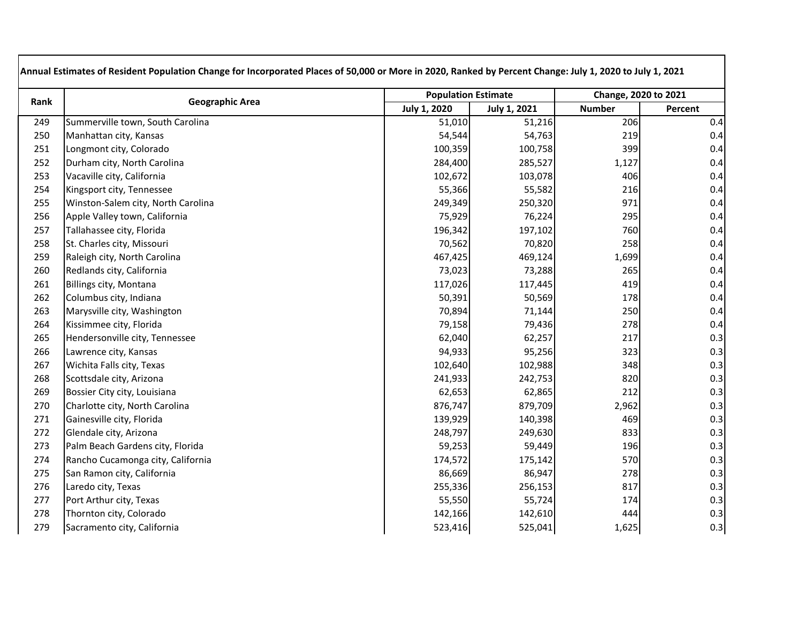| Rank | <b>Geographic Area</b>             |                     | <b>Population Estimate</b> |               | Change, 2020 to 2021 |  |
|------|------------------------------------|---------------------|----------------------------|---------------|----------------------|--|
|      |                                    | <b>July 1, 2020</b> | <b>July 1, 2021</b>        | <b>Number</b> | Percent              |  |
| 249  | Summerville town, South Carolina   | 51,010              | 51,216                     | 206           | 0.4                  |  |
| 250  | Manhattan city, Kansas             | 54,544              | 54,763                     | 219           | 0.4                  |  |
| 251  | Longmont city, Colorado            | 100,359             | 100,758                    | 399           | 0.4                  |  |
| 252  | Durham city, North Carolina        | 284,400             | 285,527                    | 1,127         | 0.4                  |  |
| 253  | Vacaville city, California         | 102,672             | 103,078                    | 406           | 0.4                  |  |
| 254  | Kingsport city, Tennessee          | 55,366              | 55,582                     | 216           | 0.4                  |  |
| 255  | Winston-Salem city, North Carolina | 249,349             | 250,320                    | 971           | 0.4                  |  |
| 256  | Apple Valley town, California      | 75,929              | 76,224                     | 295           | 0.4                  |  |
| 257  | Tallahassee city, Florida          | 196,342             | 197,102                    | 760           | 0.4                  |  |
| 258  | St. Charles city, Missouri         | 70,562              | 70,820                     | 258           | 0.4                  |  |
| 259  | Raleigh city, North Carolina       | 467,425             | 469,124                    | 1,699         | 0.4                  |  |
| 260  | Redlands city, California          | 73,023              | 73,288                     | 265           | 0.4                  |  |
| 261  | Billings city, Montana             | 117,026             | 117,445                    | 419           | 0.4                  |  |
| 262  | Columbus city, Indiana             | 50,391              | 50,569                     | 178           | 0.4                  |  |
| 263  | Marysville city, Washington        | 70,894              | 71,144                     | 250           | 0.4                  |  |
| 264  | Kissimmee city, Florida            | 79,158              | 79,436                     | 278           | 0.4                  |  |
| 265  | Hendersonville city, Tennessee     | 62,040              | 62,257                     | 217           | 0.3                  |  |
| 266  | Lawrence city, Kansas              | 94,933              | 95,256                     | 323           | 0.3                  |  |
| 267  | Wichita Falls city, Texas          | 102,640             | 102,988                    | 348           | 0.3                  |  |
| 268  | Scottsdale city, Arizona           | 241,933             | 242,753                    | 820           | 0.3                  |  |
| 269  | Bossier City city, Louisiana       | 62,653              | 62,865                     | 212           | 0.3                  |  |
| 270  | Charlotte city, North Carolina     | 876,747             | 879,709                    | 2,962         | 0.3                  |  |
| 271  | Gainesville city, Florida          | 139,929             | 140,398                    | 469           | 0.3                  |  |
| 272  | Glendale city, Arizona             | 248,797             | 249,630                    | 833           | 0.3                  |  |
| 273  | Palm Beach Gardens city, Florida   | 59,253              | 59,449                     | 196           | 0.3                  |  |
| 274  | Rancho Cucamonga city, California  | 174,572             | 175,142                    | 570           | 0.3                  |  |
| 275  | San Ramon city, California         | 86,669              | 86,947                     | 278           | 0.3                  |  |
| 276  | Laredo city, Texas                 | 255,336             | 256,153                    | 817           | 0.3                  |  |
| 277  | Port Arthur city, Texas            | 55,550              | 55,724                     | 174           | 0.3                  |  |
| 278  | Thornton city, Colorado            | 142,166             | 142,610                    | 444           | 0.3                  |  |
| 279  | Sacramento city, California        | 523,416             | 525,041                    | 1,625         | 0.3                  |  |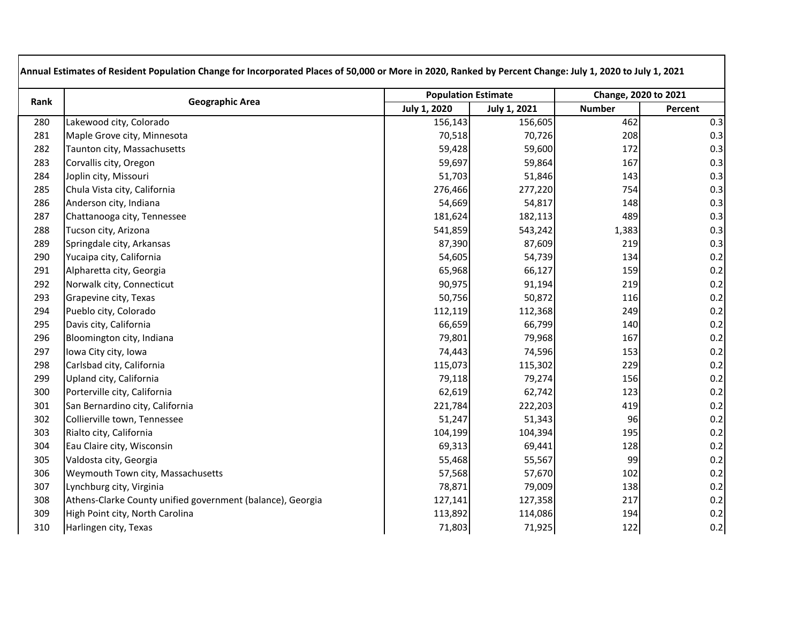| Rank | <b>Geographic Area</b>                                     |              | <b>Population Estimate</b> |               | Change, 2020 to 2021 |
|------|------------------------------------------------------------|--------------|----------------------------|---------------|----------------------|
|      |                                                            | July 1, 2020 | <b>July 1, 2021</b>        | <b>Number</b> | Percent              |
| 280  | Lakewood city, Colorado                                    | 156,143      | 156,605                    | 462           | 0.3                  |
| 281  | Maple Grove city, Minnesota                                | 70,518       | 70,726                     | 208           | 0.3                  |
| 282  | Taunton city, Massachusetts                                | 59,428       | 59,600                     | 172           | 0.3                  |
| 283  | Corvallis city, Oregon                                     | 59,697       | 59,864                     | 167           | 0.3                  |
| 284  | Joplin city, Missouri                                      | 51,703       | 51,846                     | 143           | 0.3                  |
| 285  | Chula Vista city, California                               | 276,466      | 277,220                    | 754           | 0.3                  |
| 286  | Anderson city, Indiana                                     | 54,669       | 54,817                     | 148           | 0.3                  |
| 287  | Chattanooga city, Tennessee                                | 181,624      | 182,113                    | 489           | 0.3                  |
| 288  | Tucson city, Arizona                                       | 541,859      | 543,242                    | 1,383         | 0.3                  |
| 289  | Springdale city, Arkansas                                  | 87,390       | 87,609                     | 219           | 0.3                  |
| 290  | Yucaipa city, California                                   | 54,605       | 54,739                     | 134           | 0.2                  |
| 291  | Alpharetta city, Georgia                                   | 65,968       | 66,127                     | 159           | 0.2                  |
| 292  | Norwalk city, Connecticut                                  | 90,975       | 91,194                     | 219           | 0.2                  |
| 293  | Grapevine city, Texas                                      | 50,756       | 50,872                     | 116           | 0.2                  |
| 294  | Pueblo city, Colorado                                      | 112,119      | 112,368                    | 249           | 0.2                  |
| 295  | Davis city, California                                     | 66,659       | 66,799                     | 140           | 0.2                  |
| 296  | Bloomington city, Indiana                                  | 79,801       | 79,968                     | 167           | 0.2                  |
| 297  | Iowa City city, Iowa                                       | 74,443       | 74,596                     | 153           | 0.2                  |
| 298  | Carlsbad city, California                                  | 115,073      | 115,302                    | 229           | 0.2                  |
| 299  | Upland city, California                                    | 79,118       | 79,274                     | 156           | 0.2                  |
| 300  | Porterville city, California                               | 62,619       | 62,742                     | 123           | 0.2                  |
| 301  | San Bernardino city, California                            | 221,784      | 222,203                    | 419           | 0.2                  |
| 302  | Collierville town, Tennessee                               | 51,247       | 51,343                     | 96            | 0.2                  |
| 303  | Rialto city, California                                    | 104,199      | 104,394                    | 195           | 0.2                  |
| 304  | Eau Claire city, Wisconsin                                 | 69,313       | 69,441                     | 128           | 0.2                  |
| 305  | Valdosta city, Georgia                                     | 55,468       | 55,567                     | 99            | 0.2                  |
| 306  | Weymouth Town city, Massachusetts                          | 57,568       | 57,670                     | 102           | 0.2                  |
| 307  | Lynchburg city, Virginia                                   | 78,871       | 79,009                     | 138           | 0.2                  |
| 308  | Athens-Clarke County unified government (balance), Georgia | 127,141      | 127,358                    | 217           | 0.2                  |
| 309  | High Point city, North Carolina                            | 113,892      | 114,086                    | 194           | 0.2                  |
| 310  | Harlingen city, Texas                                      | 71,803       | 71,925                     | 122           | 0.2                  |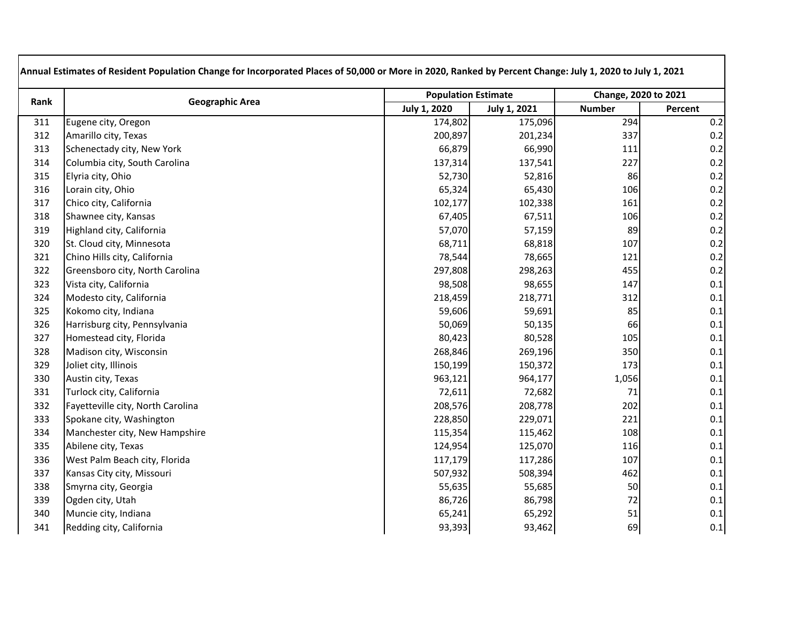| Rank | <b>Geographic Area</b>            |                     | <b>Population Estimate</b> |               | Change, 2020 to 2021 |  |
|------|-----------------------------------|---------------------|----------------------------|---------------|----------------------|--|
|      |                                   | <b>July 1, 2020</b> | <b>July 1, 2021</b>        | <b>Number</b> | Percent              |  |
| 311  | Eugene city, Oregon               | 174,802             | 175,096                    | 294           | 0.2                  |  |
| 312  | Amarillo city, Texas              | 200,897             | 201,234                    | 337           | 0.2                  |  |
| 313  | Schenectady city, New York        | 66,879              | 66,990                     | 111           | 0.2                  |  |
| 314  | Columbia city, South Carolina     | 137,314             | 137,541                    | 227           | 0.2                  |  |
| 315  | Elyria city, Ohio                 | 52,730              | 52,816                     | 86            | 0.2                  |  |
| 316  | Lorain city, Ohio                 | 65,324              | 65,430                     | 106           | 0.2                  |  |
| 317  | Chico city, California            | 102,177             | 102,338                    | 161           | 0.2                  |  |
| 318  | Shawnee city, Kansas              | 67,405              | 67,511                     | 106           | 0.2                  |  |
| 319  | Highland city, California         | 57,070              | 57,159                     | 89            | 0.2                  |  |
| 320  | St. Cloud city, Minnesota         | 68,711              | 68,818                     | 107           | 0.2                  |  |
| 321  | Chino Hills city, California      | 78,544              | 78,665                     | 121           | 0.2                  |  |
| 322  | Greensboro city, North Carolina   | 297,808             | 298,263                    | 455           | 0.2                  |  |
| 323  | Vista city, California            | 98,508              | 98,655                     | 147           | $0.1\,$              |  |
| 324  | Modesto city, California          | 218,459             | 218,771                    | 312           | 0.1                  |  |
| 325  | Kokomo city, Indiana              | 59,606              | 59,691                     | 85            | 0.1                  |  |
| 326  | Harrisburg city, Pennsylvania     | 50,069              | 50,135                     | 66            | 0.1                  |  |
| 327  | Homestead city, Florida           | 80,423              | 80,528                     | 105           | 0.1                  |  |
| 328  | Madison city, Wisconsin           | 268,846             | 269,196                    | 350           | 0.1                  |  |
| 329  | Joliet city, Illinois             | 150,199             | 150,372                    | 173           | 0.1                  |  |
| 330  | Austin city, Texas                | 963,121             | 964,177                    | 1,056         | 0.1                  |  |
| 331  | Turlock city, California          | 72,611              | 72,682                     | 71            | 0.1                  |  |
| 332  | Fayetteville city, North Carolina | 208,576             | 208,778                    | 202           | 0.1                  |  |
| 333  | Spokane city, Washington          | 228,850             | 229,071                    | 221           | $0.1\,$              |  |
| 334  | Manchester city, New Hampshire    | 115,354             | 115,462                    | 108           | $0.1\,$              |  |
| 335  | Abilene city, Texas               | 124,954             | 125,070                    | 116           | 0.1                  |  |
| 336  | West Palm Beach city, Florida     | 117,179             | 117,286                    | 107           | 0.1                  |  |
| 337  | Kansas City city, Missouri        | 507,932             | 508,394                    | 462           | 0.1                  |  |
| 338  | Smyrna city, Georgia              | 55,635              | 55,685                     | 50            | $0.1\,$              |  |
| 339  | Ogden city, Utah                  | 86,726              | 86,798                     | 72            | 0.1                  |  |
| 340  | Muncie city, Indiana              | 65,241              | 65,292                     | 51            | 0.1                  |  |
| 341  | Redding city, California          | 93,393              | 93,462                     | 69            | 0.1                  |  |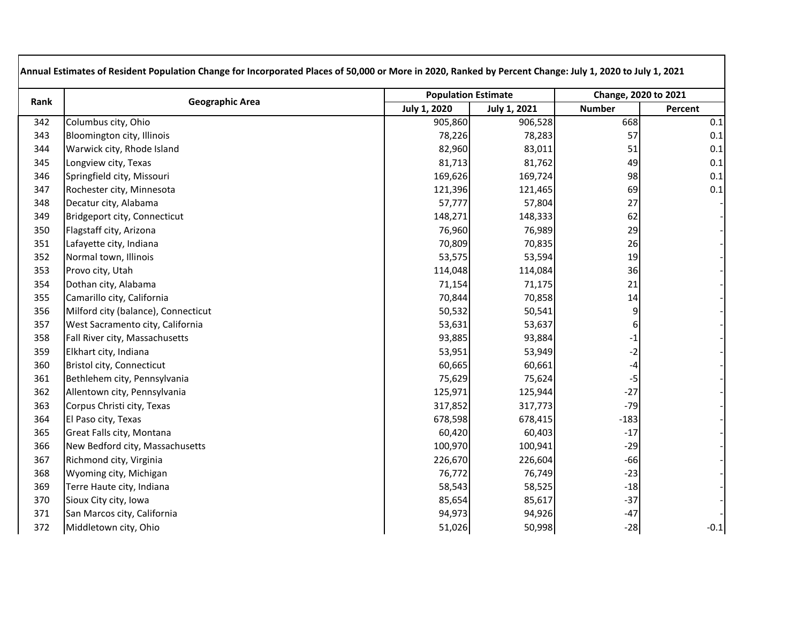| Rank | <b>Geographic Area</b>              |                     | <b>Population Estimate</b> |                | Change, 2020 to 2021 |
|------|-------------------------------------|---------------------|----------------------------|----------------|----------------------|
|      |                                     | <b>July 1, 2020</b> | <b>July 1, 2021</b>        | <b>Number</b>  | Percent              |
| 342  | Columbus city, Ohio                 | 905,860             | 906,528                    | 668            | 0.1                  |
| 343  | Bloomington city, Illinois          | 78,226              | 78,283                     | 57             | 0.1                  |
| 344  | Warwick city, Rhode Island          | 82,960              | 83,011                     | 51             | 0.1                  |
| 345  | Longview city, Texas                | 81,713              | 81,762                     | 49             | 0.1                  |
| 346  | Springfield city, Missouri          | 169,626             | 169,724                    | 98             | 0.1                  |
| 347  | Rochester city, Minnesota           | 121,396             | 121,465                    | 69             | 0.1                  |
| 348  | Decatur city, Alabama               | 57,777              | 57,804                     | 27             |                      |
| 349  | Bridgeport city, Connecticut        | 148,271             | 148,333                    | 62             |                      |
| 350  | Flagstaff city, Arizona             | 76,960              | 76,989                     | 29             |                      |
| 351  | Lafayette city, Indiana             | 70,809              | 70,835                     | 26             |                      |
| 352  | Normal town, Illinois               | 53,575              | 53,594                     | 19             |                      |
| 353  | Provo city, Utah                    | 114,048             | 114,084                    | 36             |                      |
| 354  | Dothan city, Alabama                | 71,154              | 71,175                     | 21             |                      |
| 355  | Camarillo city, California          | 70,844              | 70,858                     | 14             |                      |
| 356  | Milford city (balance), Connecticut | 50,532              | 50,541                     | $\overline{9}$ |                      |
| 357  | West Sacramento city, California    | 53,631              | 53,637                     | $6 \mid$       |                      |
| 358  | Fall River city, Massachusetts      | 93,885              | 93,884                     | $-1$           |                      |
| 359  | Elkhart city, Indiana               | 53,951              | 53,949                     | $-2$           |                      |
| 360  | Bristol city, Connecticut           | 60,665              | 60,661                     | -4             |                      |
| 361  | Bethlehem city, Pennsylvania        | 75,629              | 75,624                     | $-5$           |                      |
| 362  | Allentown city, Pennsylvania        | 125,971             | 125,944                    | $-27$          |                      |
| 363  | Corpus Christi city, Texas          | 317,852             | 317,773                    | $-79$          |                      |
| 364  | El Paso city, Texas                 | 678,598             | 678,415                    | $-183$         |                      |
| 365  | Great Falls city, Montana           | 60,420              | 60,403                     | $-17$          |                      |
| 366  | New Bedford city, Massachusetts     | 100,970             | 100,941                    | $-29$          |                      |
| 367  | Richmond city, Virginia             | 226,670             | 226,604                    | $-66$          |                      |
| 368  | Wyoming city, Michigan              | 76,772              | 76,749                     | $-23$          |                      |
| 369  | Terre Haute city, Indiana           | 58,543              | 58,525                     | $-18$          |                      |
| 370  | Sioux City city, Iowa               | 85,654              | 85,617                     | $-37$          |                      |
| 371  | San Marcos city, California         | 94,973              | 94,926                     | $-47$          |                      |
| 372  | Middletown city, Ohio               | 51,026              | 50,998                     | $-28$          | $-0.1$               |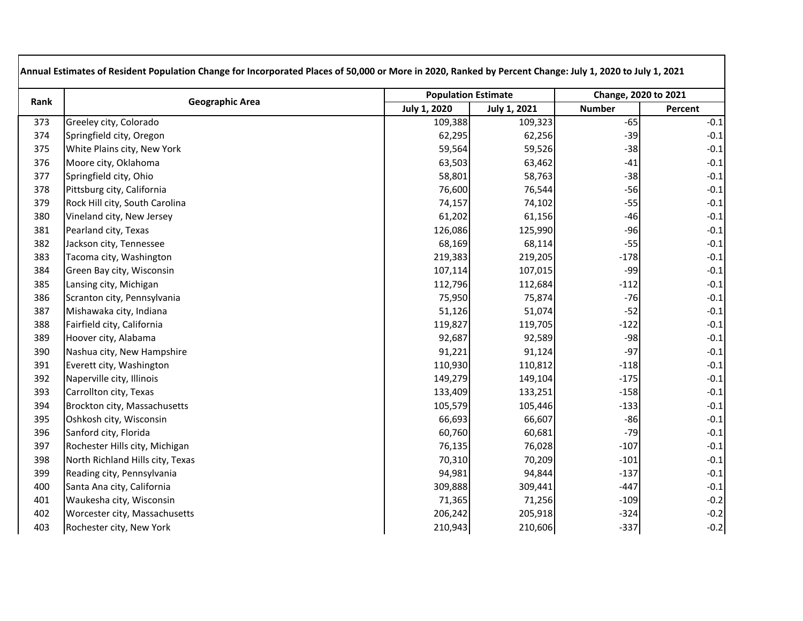| Rank | <b>Geographic Area</b>           |                     | <b>Population Estimate</b> |               | Change, 2020 to 2021 |  |
|------|----------------------------------|---------------------|----------------------------|---------------|----------------------|--|
|      |                                  | <b>July 1, 2020</b> | <b>July 1, 2021</b>        | <b>Number</b> | Percent              |  |
| 373  | Greeley city, Colorado           | 109,388             | 109,323                    | $-65$         | $-0.1$               |  |
| 374  | Springfield city, Oregon         | 62,295              | 62,256                     | $-39$         | $-0.1$               |  |
| 375  | White Plains city, New York      | 59,564              | 59,526                     | $-38$         | $-0.1$               |  |
| 376  | Moore city, Oklahoma             | 63,503              | 63,462                     | $-41$         | $-0.1$               |  |
| 377  | Springfield city, Ohio           | 58,801              | 58,763                     | $-38$         | $-0.1$               |  |
| 378  | Pittsburg city, California       | 76,600              | 76,544                     | $-56$         | $-0.1$               |  |
| 379  | Rock Hill city, South Carolina   | 74,157              | 74,102                     | $-55$         | $-0.1$               |  |
| 380  | Vineland city, New Jersey        | 61,202              | 61,156                     | $-46$         | $-0.1$               |  |
| 381  | Pearland city, Texas             | 126,086             | 125,990                    | $-96$         | $-0.1$               |  |
| 382  | Jackson city, Tennessee          | 68,169              | 68,114                     | $-55$         | $-0.1$               |  |
| 383  | Tacoma city, Washington          | 219,383             | 219,205                    | $-178$        | $-0.1$               |  |
| 384  | Green Bay city, Wisconsin        | 107,114             | 107,015                    | $-99$         | $-0.1$               |  |
| 385  | Lansing city, Michigan           | 112,796             | 112,684                    | $-112$        | $-0.1$               |  |
| 386  | Scranton city, Pennsylvania      | 75,950              | 75,874                     | $-76$         | $-0.1$               |  |
| 387  | Mishawaka city, Indiana          | 51,126              | 51,074                     | $-52$         | $-0.1$               |  |
| 388  | Fairfield city, California       | 119,827             | 119,705                    | $-122$        | $-0.1$               |  |
| 389  | Hoover city, Alabama             | 92,687              | 92,589                     | $-98$         | $-0.1$               |  |
| 390  | Nashua city, New Hampshire       | 91,221              | 91,124                     | $-97$         | $-0.1$               |  |
| 391  | Everett city, Washington         | 110,930             | 110,812                    | $-118$        | $-0.1$               |  |
| 392  | Naperville city, Illinois        | 149,279             | 149,104                    | $-175$        | $-0.1$               |  |
| 393  | Carrollton city, Texas           | 133,409             | 133,251                    | $-158$        | $-0.1$               |  |
| 394  | Brockton city, Massachusetts     | 105,579             | 105,446                    | $-133$        | $-0.1$               |  |
| 395  | Oshkosh city, Wisconsin          | 66,693              | 66,607                     | $-86$         | $-0.1$               |  |
| 396  | Sanford city, Florida            | 60,760              | 60,681                     | $-79$         | $-0.1$               |  |
| 397  | Rochester Hills city, Michigan   | 76,135              | 76,028                     | $-107$        | $-0.1$               |  |
| 398  | North Richland Hills city, Texas | 70,310              | 70,209                     | $-101$        | $-0.1$               |  |
| 399  | Reading city, Pennsylvania       | 94,981              | 94,844                     | $-137$        | $-0.1$               |  |
| 400  | Santa Ana city, California       | 309,888             | 309,441                    | $-447$        | $-0.1$               |  |
| 401  | Waukesha city, Wisconsin         | 71,365              | 71,256                     | $-109$        | $-0.2$               |  |
| 402  | Worcester city, Massachusetts    | 206,242             | 205,918                    | $-324$        | $-0.2$               |  |
| 403  | Rochester city, New York         | 210,943             | 210,606                    | $-337$        | $-0.2$               |  |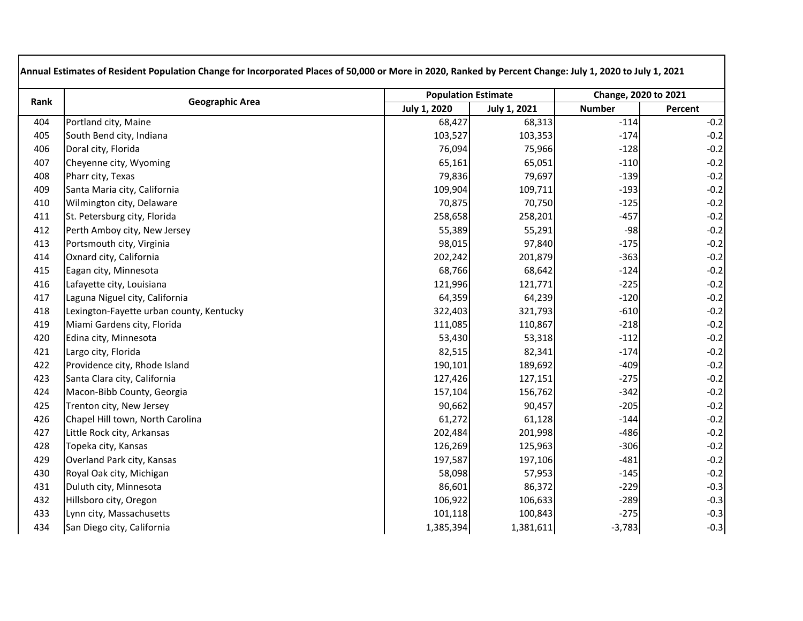| Rank | <b>Geographic Area</b>                   |                     | <b>Population Estimate</b> |               | Change, 2020 to 2021 |  |
|------|------------------------------------------|---------------------|----------------------------|---------------|----------------------|--|
|      |                                          | <b>July 1, 2020</b> | <b>July 1, 2021</b>        | <b>Number</b> | Percent              |  |
| 404  | Portland city, Maine                     | 68,427              | 68,313                     | $-114$        | $-0.2$               |  |
| 405  | South Bend city, Indiana                 | 103,527             | 103,353                    | $-174$        | $-0.2$               |  |
| 406  | Doral city, Florida                      | 76,094              | 75,966                     | $-128$        | $-0.2$               |  |
| 407  | Cheyenne city, Wyoming                   | 65,161              | 65,051                     | $-110$        | $-0.2$               |  |
| 408  | Pharr city, Texas                        | 79,836              | 79,697                     | $-139$        | $-0.2$               |  |
| 409  | Santa Maria city, California             | 109,904             | 109,711                    | $-193$        | $-0.2$               |  |
| 410  | Wilmington city, Delaware                | 70,875              | 70,750                     | $-125$        | $-0.2$               |  |
| 411  | St. Petersburg city, Florida             | 258,658             | 258,201                    | $-457$        | $-0.2$               |  |
| 412  | Perth Amboy city, New Jersey             | 55,389              | 55,291                     | $-98$         | $-0.2$               |  |
| 413  | Portsmouth city, Virginia                | 98,015              | 97,840                     | $-175$        | $-0.2$               |  |
| 414  | Oxnard city, California                  | 202,242             | 201,879                    | $-363$        | $-0.2$               |  |
| 415  | Eagan city, Minnesota                    | 68,766              | 68,642                     | $-124$        | $-0.2$               |  |
| 416  | Lafayette city, Louisiana                | 121,996             | 121,771                    | $-225$        | $-0.2$               |  |
| 417  | Laguna Niguel city, California           | 64,359              | 64,239                     | $-120$        | $-0.2$               |  |
| 418  | Lexington-Fayette urban county, Kentucky | 322,403             | 321,793                    | $-610$        | $-0.2$               |  |
| 419  | Miami Gardens city, Florida              | 111,085             | 110,867                    | $-218$        | $-0.2$               |  |
| 420  | Edina city, Minnesota                    | 53,430              | 53,318                     | $-112$        | $-0.2$               |  |
| 421  | Largo city, Florida                      | 82,515              | 82,341                     | $-174$        | $-0.2$               |  |
| 422  | Providence city, Rhode Island            | 190,101             | 189,692                    | $-409$        | $-0.2$               |  |
| 423  | Santa Clara city, California             | 127,426             | 127,151                    | $-275$        | $-0.2$               |  |
| 424  | Macon-Bibb County, Georgia               | 157,104             | 156,762                    | $-342$        | $-0.2$               |  |
| 425  | Trenton city, New Jersey                 | 90,662              | 90,457                     | $-205$        | $-0.2$               |  |
| 426  | Chapel Hill town, North Carolina         | 61,272              | 61,128                     | $-144$        | $-0.2$               |  |
| 427  | Little Rock city, Arkansas               | 202,484             | 201,998                    | $-486$        | $-0.2$               |  |
| 428  | Topeka city, Kansas                      | 126,269             | 125,963                    | $-306$        | $-0.2$               |  |
| 429  | Overland Park city, Kansas               | 197,587             | 197,106                    | $-481$        | $-0.2$               |  |
| 430  | Royal Oak city, Michigan                 | 58,098              | 57,953                     | $-145$        | $-0.2$               |  |
| 431  | Duluth city, Minnesota                   | 86,601              | 86,372                     | $-229$        | $-0.3$               |  |
| 432  | Hillsboro city, Oregon                   | 106,922             | 106,633                    | $-289$        | $-0.3$               |  |
| 433  | Lynn city, Massachusetts                 | 101,118             | 100,843                    | $-275$        | $-0.3$               |  |
| 434  | San Diego city, California               | 1,385,394           | 1,381,611                  | $-3,783$      | $-0.3$               |  |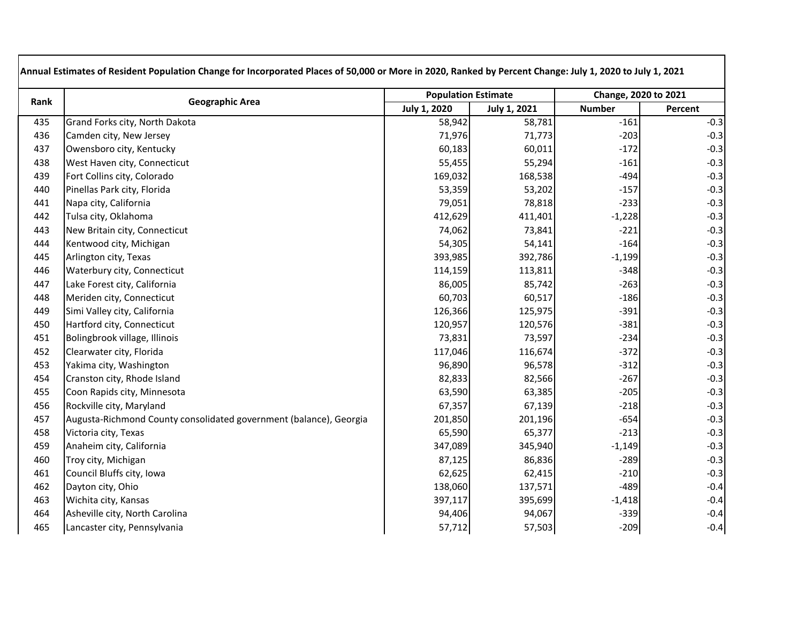| Rank | <b>Geographic Area</b>                                             |                     | <b>Population Estimate</b> |               | Change, 2020 to 2021 |  |  |
|------|--------------------------------------------------------------------|---------------------|----------------------------|---------------|----------------------|--|--|
|      |                                                                    | <b>July 1, 2020</b> | <b>July 1, 2021</b>        | <b>Number</b> | Percent              |  |  |
| 435  | Grand Forks city, North Dakota                                     | 58,942              | 58,781                     | $-161$        | $-0.3$               |  |  |
| 436  | Camden city, New Jersey                                            | 71,976              | 71,773                     | $-203$        | $-0.3$               |  |  |
| 437  | Owensboro city, Kentucky                                           | 60,183              | 60,011                     | $-172$        | $-0.3$               |  |  |
| 438  | West Haven city, Connecticut                                       | 55,455              | 55,294                     | $-161$        | $-0.3$               |  |  |
| 439  | Fort Collins city, Colorado                                        | 169,032             | 168,538                    | $-494$        | $-0.3$               |  |  |
| 440  | Pinellas Park city, Florida                                        | 53,359              | 53,202                     | $-157$        | $-0.3$               |  |  |
| 441  | Napa city, California                                              | 79,051              | 78,818                     | $-233$        | $-0.3$               |  |  |
| 442  | Tulsa city, Oklahoma                                               | 412,629             | 411,401                    | $-1,228$      | $-0.3$               |  |  |
| 443  | New Britain city, Connecticut                                      | 74,062              | 73,841                     | $-221$        | $-0.3$               |  |  |
| 444  | Kentwood city, Michigan                                            | 54,305              | 54,141                     | $-164$        | $-0.3$               |  |  |
| 445  | Arlington city, Texas                                              | 393,985             | 392,786                    | $-1,199$      | $-0.3$               |  |  |
| 446  | Waterbury city, Connecticut                                        | 114,159             | 113,811                    | $-348$        | $-0.3$               |  |  |
| 447  | Lake Forest city, California                                       | 86,005              | 85,742                     | $-263$        | $-0.3$               |  |  |
| 448  | Meriden city, Connecticut                                          | 60,703              | 60,517                     | $-186$        | $-0.3$               |  |  |
| 449  | Simi Valley city, California                                       | 126,366             | 125,975                    | $-391$        | $-0.3$               |  |  |
| 450  | Hartford city, Connecticut                                         | 120,957             | 120,576                    | $-381$        | $-0.3$               |  |  |
| 451  | Bolingbrook village, Illinois                                      | 73,831              | 73,597                     | $-234$        | $-0.3$               |  |  |
| 452  | Clearwater city, Florida                                           | 117,046             | 116,674                    | $-372$        | $-0.3$               |  |  |
| 453  | Yakima city, Washington                                            | 96,890              | 96,578                     | $-312$        | $-0.3$               |  |  |
| 454  | Cranston city, Rhode Island                                        | 82,833              | 82,566                     | $-267$        | $-0.3$               |  |  |
| 455  | Coon Rapids city, Minnesota                                        | 63,590              | 63,385                     | $-205$        | $-0.3$               |  |  |
| 456  | Rockville city, Maryland                                           | 67,357              | 67,139                     | $-218$        | $-0.3$               |  |  |
| 457  | Augusta-Richmond County consolidated government (balance), Georgia | 201,850             | 201,196                    | $-654$        | $-0.3$               |  |  |
| 458  | Victoria city, Texas                                               | 65,590              | 65,377                     | $-213$        | $-0.3$               |  |  |
| 459  | Anaheim city, California                                           | 347,089             | 345,940                    | $-1,149$      | $-0.3$               |  |  |
| 460  | Troy city, Michigan                                                | 87,125              | 86,836                     | $-289$        | $-0.3$               |  |  |
| 461  | Council Bluffs city, Iowa                                          | 62,625              | 62,415                     | $-210$        | $-0.3$               |  |  |
| 462  | Dayton city, Ohio                                                  | 138,060             | 137,571                    | $-489$        | $-0.4$               |  |  |
| 463  | Wichita city, Kansas                                               | 397,117             | 395,699                    | $-1,418$      | $-0.4$               |  |  |
| 464  | Asheville city, North Carolina                                     | 94,406              | 94,067                     | $-339$        | $-0.4$               |  |  |
| 465  | Lancaster city, Pennsylvania                                       | 57,712              | 57,503                     | $-209$        | $-0.4$               |  |  |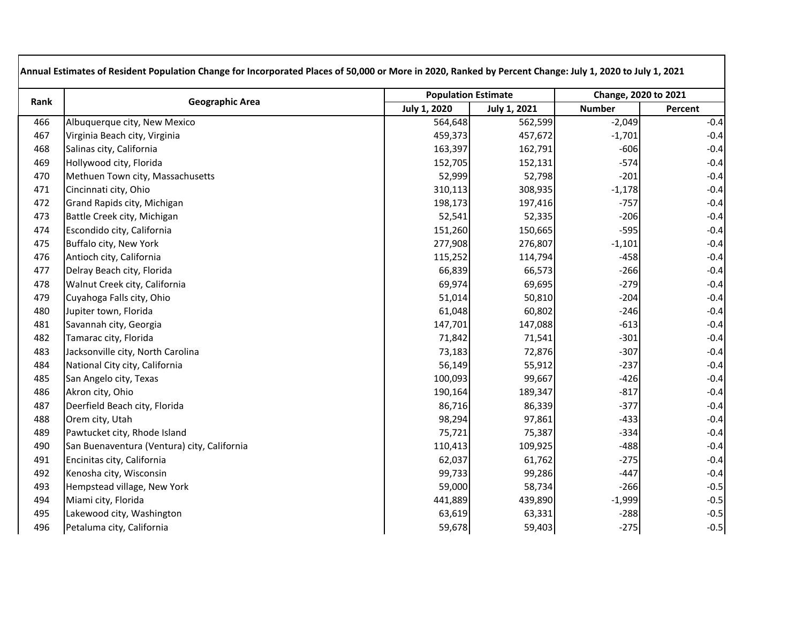| Rank | <b>Geographic Area</b>                      |                     | <b>Population Estimate</b> |               | Change, 2020 to 2021 |
|------|---------------------------------------------|---------------------|----------------------------|---------------|----------------------|
|      |                                             | <b>July 1, 2020</b> | <b>July 1, 2021</b>        | <b>Number</b> | Percent              |
| 466  | Albuquerque city, New Mexico                | 564,648             | 562,599                    | $-2,049$      | $-0.4$               |
| 467  | Virginia Beach city, Virginia               | 459,373             | 457,672                    | $-1,701$      | $-0.4$               |
| 468  | Salinas city, California                    | 163,397             | 162,791                    | $-606$        | $-0.4$               |
| 469  | Hollywood city, Florida                     | 152,705             | 152,131                    | $-574$        | $-0.4$               |
| 470  | Methuen Town city, Massachusetts            | 52,999              | 52,798                     | $-201$        | $-0.4$               |
| 471  | Cincinnati city, Ohio                       | 310,113             | 308,935                    | $-1,178$      | $-0.4$               |
| 472  | Grand Rapids city, Michigan                 | 198,173             | 197,416                    | $-757$        | $-0.4$               |
| 473  | Battle Creek city, Michigan                 | 52,541              | 52,335                     | $-206$        | $-0.4$               |
| 474  | Escondido city, California                  | 151,260             | 150,665                    | $-595$        | $-0.4$               |
| 475  | Buffalo city, New York                      | 277,908             | 276,807                    | $-1,101$      | $-0.4$               |
| 476  | Antioch city, California                    | 115,252             | 114,794                    | $-458$        | $-0.4$               |
| 477  | Delray Beach city, Florida                  | 66,839              | 66,573                     | $-266$        | $-0.4$               |
| 478  | Walnut Creek city, California               | 69,974              | 69,695                     | $-279$        | $-0.4$               |
| 479  | Cuyahoga Falls city, Ohio                   | 51,014              | 50,810                     | $-204$        | $-0.4$               |
| 480  | Jupiter town, Florida                       | 61,048              | 60,802                     | $-246$        | $-0.4$               |
| 481  | Savannah city, Georgia                      | 147,701             | 147,088                    | $-613$        | $-0.4$               |
| 482  | Tamarac city, Florida                       | 71,842              | 71,541                     | $-301$        | $-0.4$               |
| 483  | Jacksonville city, North Carolina           | 73,183              | 72,876                     | $-307$        | $-0.4$               |
| 484  | National City city, California              | 56,149              | 55,912                     | $-237$        | $-0.4$               |
| 485  | San Angelo city, Texas                      | 100,093             | 99,667                     | $-426$        | $-0.4$               |
| 486  | Akron city, Ohio                            | 190,164             | 189,347                    | $-817$        | $-0.4$               |
| 487  | Deerfield Beach city, Florida               | 86,716              | 86,339                     | $-377$        | $-0.4$               |
| 488  | Orem city, Utah                             | 98,294              | 97,861                     | $-433$        | $-0.4$               |
| 489  | Pawtucket city, Rhode Island                | 75,721              | 75,387                     | $-334$        | $-0.4$               |
| 490  | San Buenaventura (Ventura) city, California | 110,413             | 109,925                    | $-488$        | $-0.4$               |
| 491  | Encinitas city, California                  | 62,037              | 61,762                     | $-275$        | $-0.4$               |
| 492  | Kenosha city, Wisconsin                     | 99,733              | 99,286                     | $-447$        | $-0.4$               |
| 493  | Hempstead village, New York                 | 59,000              | 58,734                     | $-266$        | $-0.5$               |
| 494  | Miami city, Florida                         | 441,889             | 439,890                    | $-1,999$      | $-0.5$               |
| 495  | Lakewood city, Washington                   | 63,619              | 63,331                     | $-288$        | $-0.5$               |
| 496  | Petaluma city, California                   | 59,678              | 59,403                     | $-275$        | $-0.5$               |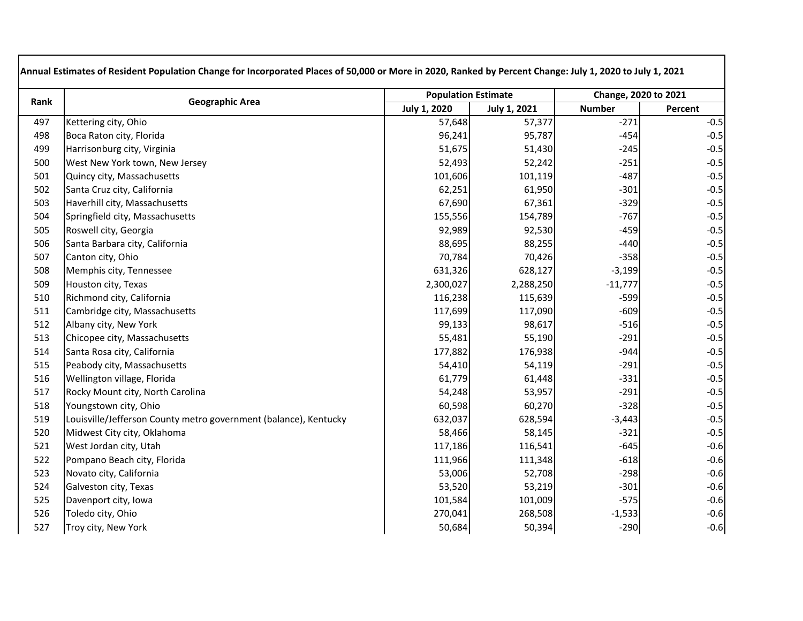| Rank | <b>Geographic Area</b>                                           |                     | <b>Population Estimate</b> |               | Change, 2020 to 2021 |  |  |
|------|------------------------------------------------------------------|---------------------|----------------------------|---------------|----------------------|--|--|
|      |                                                                  | <b>July 1, 2020</b> | <b>July 1, 2021</b>        | <b>Number</b> | Percent              |  |  |
| 497  | Kettering city, Ohio                                             | 57,648              | 57,377                     | $-271$        | $-0.5$               |  |  |
| 498  | Boca Raton city, Florida                                         | 96,241              | 95,787                     | $-454$        | $-0.5$               |  |  |
| 499  | Harrisonburg city, Virginia                                      | 51,675              | 51,430                     | $-245$        | $-0.5$               |  |  |
| 500  | West New York town, New Jersey                                   | 52,493              | 52,242                     | $-251$        | $-0.5$               |  |  |
| 501  | Quincy city, Massachusetts                                       | 101,606             | 101,119                    | $-487$        | $-0.5$               |  |  |
| 502  | Santa Cruz city, California                                      | 62,251              | 61,950                     | $-301$        | $-0.5$               |  |  |
| 503  | Haverhill city, Massachusetts                                    | 67,690              | 67,361                     | $-329$        | $-0.5$               |  |  |
| 504  | Springfield city, Massachusetts                                  | 155,556             | 154,789                    | $-767$        | $-0.5$               |  |  |
| 505  | Roswell city, Georgia                                            | 92,989              | 92,530                     | $-459$        | $-0.5$               |  |  |
| 506  | Santa Barbara city, California                                   | 88,695              | 88,255                     | $-440$        | $-0.5$               |  |  |
| 507  | Canton city, Ohio                                                | 70,784              | 70,426                     | $-358$        | $-0.5$               |  |  |
| 508  | Memphis city, Tennessee                                          | 631,326             | 628,127                    | $-3,199$      | $-0.5$               |  |  |
| 509  | Houston city, Texas                                              | 2,300,027           | 2,288,250                  | $-11,777$     | $-0.5$               |  |  |
| 510  | Richmond city, California                                        | 116,238             | 115,639                    | $-599$        | $-0.5$               |  |  |
| 511  | Cambridge city, Massachusetts                                    | 117,699             | 117,090                    | $-609$        | $-0.5$               |  |  |
| 512  | Albany city, New York                                            | 99,133              | 98,617                     | $-516$        | $-0.5$               |  |  |
| 513  | Chicopee city, Massachusetts                                     | 55,481              | 55,190                     | $-291$        | $-0.5$               |  |  |
| 514  | Santa Rosa city, California                                      | 177,882             | 176,938                    | $-944$        | $-0.5$               |  |  |
| 515  | Peabody city, Massachusetts                                      | 54,410              | 54,119                     | $-291$        | $-0.5$               |  |  |
| 516  | Wellington village, Florida                                      | 61,779              | 61,448                     | $-331$        | $-0.5$               |  |  |
| 517  | Rocky Mount city, North Carolina                                 | 54,248              | 53,957                     | $-291$        | $-0.5$               |  |  |
| 518  | Youngstown city, Ohio                                            | 60,598              | 60,270                     | $-328$        | $-0.5$               |  |  |
| 519  | Louisville/Jefferson County metro government (balance), Kentucky | 632,037             | 628,594                    | $-3,443$      | $-0.5$               |  |  |
| 520  | Midwest City city, Oklahoma                                      | 58,466              | 58,145                     | $-321$        | $-0.5$               |  |  |
| 521  | West Jordan city, Utah                                           | 117,186             | 116,541                    | $-645$        | $-0.6$               |  |  |
| 522  | Pompano Beach city, Florida                                      | 111,966             | 111,348                    | $-618$        | $-0.6$               |  |  |
| 523  | Novato city, California                                          | 53,006              | 52,708                     | $-298$        | $-0.6$               |  |  |
| 524  | Galveston city, Texas                                            | 53,520              | 53,219                     | $-301$        | $-0.6$               |  |  |
| 525  | Davenport city, Iowa                                             | 101,584             | 101,009                    | $-575$        | $-0.6$               |  |  |
| 526  | Toledo city, Ohio                                                | 270,041             | 268,508                    | $-1,533$      | $-0.6$               |  |  |
| 527  | Troy city, New York                                              | 50,684              | 50,394                     | $-290$        | $-0.6$               |  |  |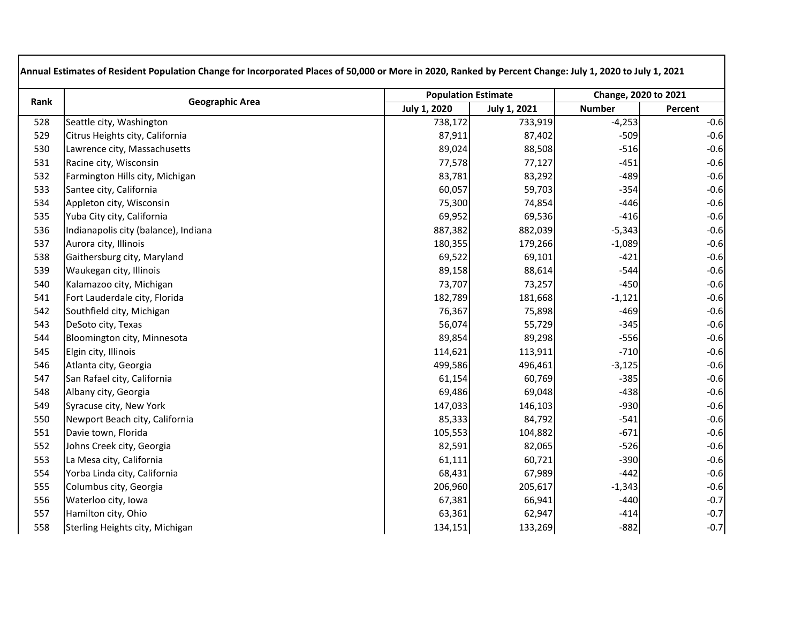| Rank | <b>Geographic Area</b>               |                     | <b>Population Estimate</b> |               | Change, 2020 to 2021 |
|------|--------------------------------------|---------------------|----------------------------|---------------|----------------------|
|      |                                      | <b>July 1, 2020</b> | July 1, 2021               | <b>Number</b> | Percent              |
| 528  | Seattle city, Washington             | 738,172             | 733,919                    | $-4,253$      | $-0.6$               |
| 529  | Citrus Heights city, California      | 87,911              | 87,402                     | $-509$        | $-0.6$               |
| 530  | Lawrence city, Massachusetts         | 89,024              | 88,508                     | $-516$        | $-0.6$               |
| 531  | Racine city, Wisconsin               | 77,578              | 77,127                     | $-451$        | $-0.6$               |
| 532  | Farmington Hills city, Michigan      | 83,781              | 83,292                     | $-489$        | $-0.6$               |
| 533  | Santee city, California              | 60,057              | 59,703                     | $-354$        | $-0.6$               |
| 534  | Appleton city, Wisconsin             | 75,300              | 74,854                     | $-446$        | $-0.6$               |
| 535  | Yuba City city, California           | 69,952              | 69,536                     | $-416$        | $-0.6$               |
| 536  | Indianapolis city (balance), Indiana | 887,382             | 882,039                    | $-5,343$      | $-0.6$               |
| 537  | Aurora city, Illinois                | 180,355             | 179,266                    | $-1,089$      | $-0.6$               |
| 538  | Gaithersburg city, Maryland          | 69,522              | 69,101                     | $-421$        | $-0.6$               |
| 539  | Waukegan city, Illinois              | 89,158              | 88,614                     | $-544$        | $-0.6$               |
| 540  | Kalamazoo city, Michigan             | 73,707              | 73,257                     | $-450$        | $-0.6$               |
| 541  | Fort Lauderdale city, Florida        | 182,789             | 181,668                    | $-1,121$      | $-0.6$               |
| 542  | Southfield city, Michigan            | 76,367              | 75,898                     | $-469$        | $-0.6$               |
| 543  | DeSoto city, Texas                   | 56,074              | 55,729                     | $-345$        | $-0.6$               |
| 544  | Bloomington city, Minnesota          | 89,854              | 89,298                     | $-556$        | $-0.6$               |
| 545  | Elgin city, Illinois                 | 114,621             | 113,911                    | $-710$        | $-0.6$               |
| 546  | Atlanta city, Georgia                | 499,586             | 496,461                    | $-3,125$      | $-0.6$               |
| 547  | San Rafael city, California          | 61,154              | 60,769                     | $-385$        | $-0.6$               |
| 548  | Albany city, Georgia                 | 69,486              | 69,048                     | $-438$        | $-0.6$               |
| 549  | Syracuse city, New York              | 147,033             | 146,103                    | $-930$        | $-0.6$               |
| 550  | Newport Beach city, California       | 85,333              | 84,792                     | $-541$        | $-0.6$               |
| 551  | Davie town, Florida                  | 105,553             | 104,882                    | $-671$        | $-0.6$               |
| 552  | Johns Creek city, Georgia            | 82,591              | 82,065                     | $-526$        | $-0.6$               |
| 553  | La Mesa city, California             | 61,111              | 60,721                     | $-390$        | $-0.6$               |
| 554  | Yorba Linda city, California         | 68,431              | 67,989                     | $-442$        | $-0.6$               |
| 555  | Columbus city, Georgia               | 206,960             | 205,617                    | $-1,343$      | $-0.6$               |
| 556  | Waterloo city, Iowa                  | 67,381              | 66,941                     | $-440$        | $-0.7$               |
| 557  | Hamilton city, Ohio                  | 63,361              | 62,947                     | $-414$        | $-0.7$               |
| 558  | Sterling Heights city, Michigan      | 134,151             | 133,269                    | $-882$        | $-0.7$               |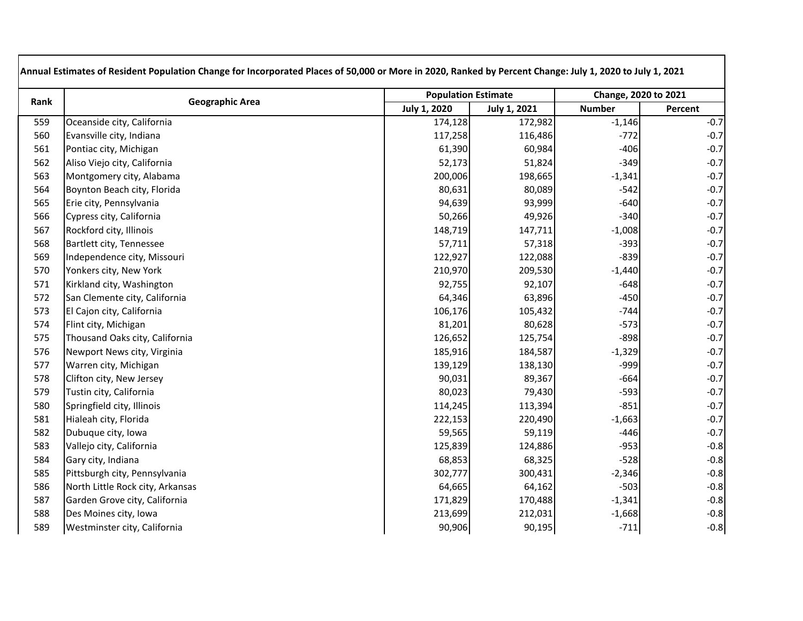| Rank | <b>Geographic Area</b>           |                     | <b>Population Estimate</b> |               | Change, 2020 to 2021 |  |
|------|----------------------------------|---------------------|----------------------------|---------------|----------------------|--|
|      |                                  | <b>July 1, 2020</b> | <b>July 1, 2021</b>        | <b>Number</b> | Percent              |  |
| 559  | Oceanside city, California       | 174,128             | 172,982                    | $-1,146$      | $-0.7$               |  |
| 560  | Evansville city, Indiana         | 117,258             | 116,486                    | $-772$        | $-0.7$               |  |
| 561  | Pontiac city, Michigan           | 61,390              | 60,984                     | $-406$        | $-0.7$               |  |
| 562  | Aliso Viejo city, California     | 52,173              | 51,824                     | $-349$        | $-0.7$               |  |
| 563  | Montgomery city, Alabama         | 200,006             | 198,665                    | $-1,341$      | $-0.7$               |  |
| 564  | Boynton Beach city, Florida      | 80,631              | 80,089                     | $-542$        | $-0.7$               |  |
| 565  | Erie city, Pennsylvania          | 94,639              | 93,999                     | $-640$        | $-0.7$               |  |
| 566  | Cypress city, California         | 50,266              | 49,926                     | $-340$        | $-0.7$               |  |
| 567  | Rockford city, Illinois          | 148,719             | 147,711                    | $-1,008$      | $-0.7$               |  |
| 568  | Bartlett city, Tennessee         | 57,711              | 57,318                     | $-393$        | $-0.7$               |  |
| 569  | Independence city, Missouri      | 122,927             | 122,088                    | $-839$        | $-0.7$               |  |
| 570  | Yonkers city, New York           | 210,970             | 209,530                    | $-1,440$      | $-0.7$               |  |
| 571  | Kirkland city, Washington        | 92,755              | 92,107                     | $-648$        | $-0.7$               |  |
| 572  | San Clemente city, California    | 64,346              | 63,896                     | $-450$        | $-0.7$               |  |
| 573  | El Cajon city, California        | 106,176             | 105,432                    | $-744$        | $-0.7$               |  |
| 574  | Flint city, Michigan             | 81,201              | 80,628                     | $-573$        | $-0.7$               |  |
| 575  | Thousand Oaks city, California   | 126,652             | 125,754                    | $-898$        | $-0.7$               |  |
| 576  | Newport News city, Virginia      | 185,916             | 184,587                    | $-1,329$      | $-0.7$               |  |
| 577  | Warren city, Michigan            | 139,129             | 138,130                    | $-999$        | $-0.7$               |  |
| 578  | Clifton city, New Jersey         | 90,031              | 89,367                     | $-664$        | $-0.7$               |  |
| 579  | Tustin city, California          | 80,023              | 79,430                     | $-593$        | $-0.7$               |  |
| 580  | Springfield city, Illinois       | 114,245             | 113,394                    | $-851$        | $-0.7$               |  |
| 581  | Hialeah city, Florida            | 222,153             | 220,490                    | $-1,663$      | $-0.7$               |  |
| 582  | Dubuque city, Iowa               | 59,565              | 59,119                     | $-446$        | $-0.7$               |  |
| 583  | Vallejo city, California         | 125,839             | 124,886                    | $-953$        | $-0.8$               |  |
| 584  | Gary city, Indiana               | 68,853              | 68,325                     | $-528$        | $-0.8$               |  |
| 585  | Pittsburgh city, Pennsylvania    | 302,777             | 300,431                    | $-2,346$      | $-0.8$               |  |
| 586  | North Little Rock city, Arkansas | 64,665              | 64,162                     | $-503$        | $-0.8$               |  |
| 587  | Garden Grove city, California    | 171,829             | 170,488                    | $-1,341$      | $-0.8$               |  |
| 588  | Des Moines city, Iowa            | 213,699             | 212,031                    | $-1,668$      | $-0.8$               |  |
| 589  | Westminster city, California     | 90,906              | 90,195                     | $-711$        | $-0.8$               |  |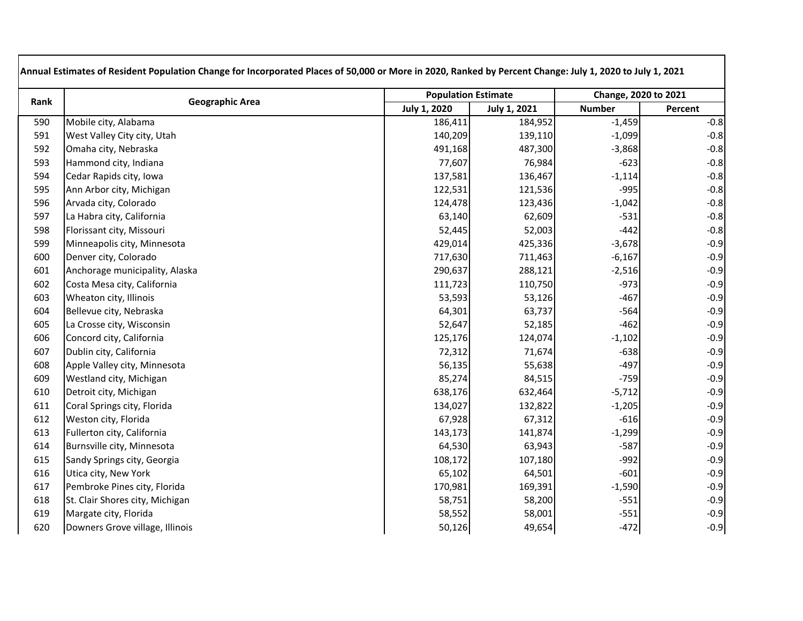| Rank | <b>Geographic Area</b>          |                     | <b>Population Estimate</b> |               | Change, 2020 to 2021 |  |
|------|---------------------------------|---------------------|----------------------------|---------------|----------------------|--|
|      |                                 | <b>July 1, 2020</b> | <b>July 1, 2021</b>        | <b>Number</b> | Percent              |  |
| 590  | Mobile city, Alabama            | 186,411             | 184,952                    | $-1,459$      | $-0.8$               |  |
| 591  | West Valley City city, Utah     | 140,209             | 139,110                    | $-1,099$      | $-0.8$               |  |
| 592  | Omaha city, Nebraska            | 491,168             | 487,300                    | $-3,868$      | $-0.8$               |  |
| 593  | Hammond city, Indiana           | 77,607              | 76,984                     | $-623$        | $-0.8$               |  |
| 594  | Cedar Rapids city, Iowa         | 137,581             | 136,467                    | $-1,114$      | $-0.8$               |  |
| 595  | Ann Arbor city, Michigan        | 122,531             | 121,536                    | $-995$        | $-0.8$               |  |
| 596  | Arvada city, Colorado           | 124,478             | 123,436                    | $-1,042$      | $-0.8$               |  |
| 597  | La Habra city, California       | 63,140              | 62,609                     | $-531$        | $-0.8$               |  |
| 598  | Florissant city, Missouri       | 52,445              | 52,003                     | $-442$        | $-0.8$               |  |
| 599  | Minneapolis city, Minnesota     | 429,014             | 425,336                    | $-3,678$      | $-0.9$               |  |
| 600  | Denver city, Colorado           | 717,630             | 711,463                    | $-6,167$      | $-0.9$               |  |
| 601  | Anchorage municipality, Alaska  | 290,637             | 288,121                    | $-2,516$      | $-0.9$               |  |
| 602  | Costa Mesa city, California     | 111,723             | 110,750                    | $-973$        | $-0.9$               |  |
| 603  | Wheaton city, Illinois          | 53,593              | 53,126                     | $-467$        | $-0.9$               |  |
| 604  | Bellevue city, Nebraska         | 64,301              | 63,737                     | $-564$        | $-0.9$               |  |
| 605  | La Crosse city, Wisconsin       | 52,647              | 52,185                     | $-462$        | $-0.9$               |  |
| 606  | Concord city, California        | 125,176             | 124,074                    | $-1,102$      | $-0.9$               |  |
| 607  | Dublin city, California         | 72,312              | 71,674                     | $-638$        | $-0.9$               |  |
| 608  | Apple Valley city, Minnesota    | 56,135              | 55,638                     | $-497$        | $-0.9$               |  |
| 609  | Westland city, Michigan         | 85,274              | 84,515                     | $-759$        | $-0.9$               |  |
| 610  | Detroit city, Michigan          | 638,176             | 632,464                    | $-5,712$      | $-0.9$               |  |
| 611  | Coral Springs city, Florida     | 134,027             | 132,822                    | $-1,205$      | $-0.9$               |  |
| 612  | Weston city, Florida            | 67,928              | 67,312                     | $-616$        | $-0.9$               |  |
| 613  | Fullerton city, California      | 143,173             | 141,874                    | $-1,299$      | $-0.9$               |  |
| 614  | Burnsville city, Minnesota      | 64,530              | 63,943                     | $-587$        | $-0.9$               |  |
| 615  | Sandy Springs city, Georgia     | 108,172             | 107,180                    | $-992$        | $-0.9$               |  |
| 616  | Utica city, New York            | 65,102              | 64,501                     | $-601$        | $-0.9$               |  |
| 617  | Pembroke Pines city, Florida    | 170,981             | 169,391                    | $-1,590$      | $-0.9$               |  |
| 618  | St. Clair Shores city, Michigan | 58,751              | 58,200                     | $-551$        | $-0.9$               |  |
| 619  | Margate city, Florida           | 58,552              | 58,001                     | $-551$        | $-0.9$               |  |
| 620  | Downers Grove village, Illinois | 50,126              | 49,654                     | $-472$        | $-0.9$               |  |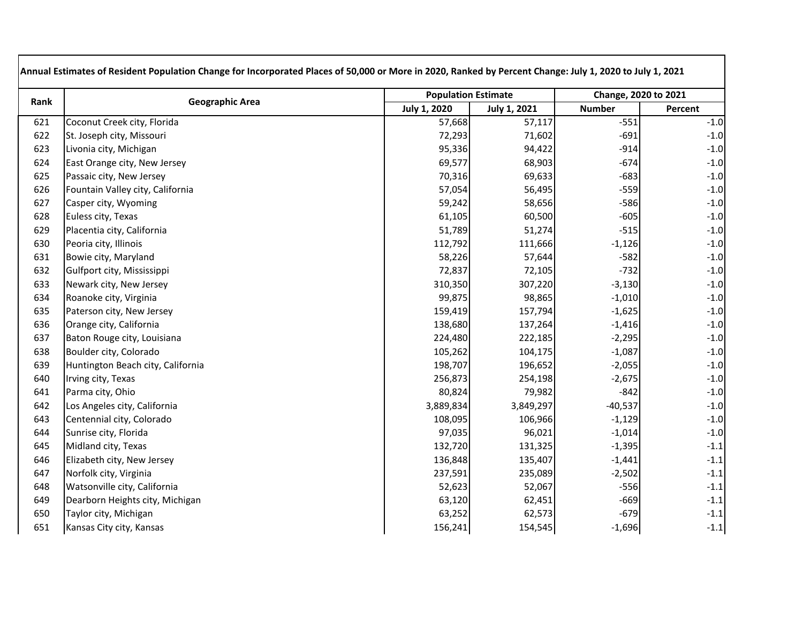| Rank | <b>Geographic Area</b>            |                     | <b>Population Estimate</b> |               | Change, 2020 to 2021 |
|------|-----------------------------------|---------------------|----------------------------|---------------|----------------------|
|      |                                   | <b>July 1, 2020</b> | <b>July 1, 2021</b>        | <b>Number</b> | Percent              |
| 621  | Coconut Creek city, Florida       | 57,668              | 57,117                     | $-551$        | $-1.0$               |
| 622  | St. Joseph city, Missouri         | 72,293              | 71,602                     | $-691$        | $-1.0$               |
| 623  | Livonia city, Michigan            | 95,336              | 94,422                     | $-914$        | $-1.0$               |
| 624  | East Orange city, New Jersey      | 69,577              | 68,903                     | $-674$        | $-1.0$               |
| 625  | Passaic city, New Jersey          | 70,316              | 69,633                     | $-683$        | $-1.0$               |
| 626  | Fountain Valley city, California  | 57,054              | 56,495                     | $-559$        | $-1.0$               |
| 627  | Casper city, Wyoming              | 59,242              | 58,656                     | $-586$        | $-1.0$               |
| 628  | Euless city, Texas                | 61,105              | 60,500                     | $-605$        | $-1.0$               |
| 629  | Placentia city, California        | 51,789              | 51,274                     | $-515$        | $-1.0$               |
| 630  | Peoria city, Illinois             | 112,792             | 111,666                    | $-1,126$      | $-1.0$               |
| 631  | Bowie city, Maryland              | 58,226              | 57,644                     | $-582$        | $-1.0$               |
| 632  | Gulfport city, Mississippi        | 72,837              | 72,105                     | $-732$        | $-1.0$               |
| 633  | Newark city, New Jersey           | 310,350             | 307,220                    | $-3,130$      | $-1.0$               |
| 634  | Roanoke city, Virginia            | 99,875              | 98,865                     | $-1,010$      | $-1.0$               |
| 635  | Paterson city, New Jersey         | 159,419             | 157,794                    | $-1,625$      | $-1.0$               |
| 636  | Orange city, California           | 138,680             | 137,264                    | $-1,416$      | $-1.0$               |
| 637  | Baton Rouge city, Louisiana       | 224,480             | 222,185                    | $-2,295$      | $-1.0$               |
| 638  | Boulder city, Colorado            | 105,262             | 104,175                    | $-1,087$      | $-1.0$               |
| 639  | Huntington Beach city, California | 198,707             | 196,652                    | $-2,055$      | $-1.0$               |
| 640  | Irving city, Texas                | 256,873             | 254,198                    | $-2,675$      | $-1.0$               |
| 641  | Parma city, Ohio                  | 80,824              | 79,982                     | $-842$        | $-1.0$               |
| 642  | Los Angeles city, California      | 3,889,834           | 3,849,297                  | $-40,537$     | $-1.0$               |
| 643  | Centennial city, Colorado         | 108,095             | 106,966                    | $-1,129$      | $-1.0$               |
| 644  | Sunrise city, Florida             | 97,035              | 96,021                     | $-1,014$      | $-1.0$               |
| 645  | Midland city, Texas               | 132,720             | 131,325                    | $-1,395$      | $-1.1$               |
| 646  | Elizabeth city, New Jersey        | 136,848             | 135,407                    | $-1,441$      | $-1.1$               |
| 647  | Norfolk city, Virginia            | 237,591             | 235,089                    | $-2,502$      | $-1.1$               |
| 648  | Watsonville city, California      | 52,623              | 52,067                     | $-556$        | $-1.1$               |
| 649  | Dearborn Heights city, Michigan   | 63,120              | 62,451                     | $-669$        | $-1.1$               |
| 650  | Taylor city, Michigan             | 63,252              | 62,573                     | $-679$        | $-1.1$               |
| 651  | Kansas City city, Kansas          | 156,241             | 154,545                    | $-1,696$      | $-1.1$               |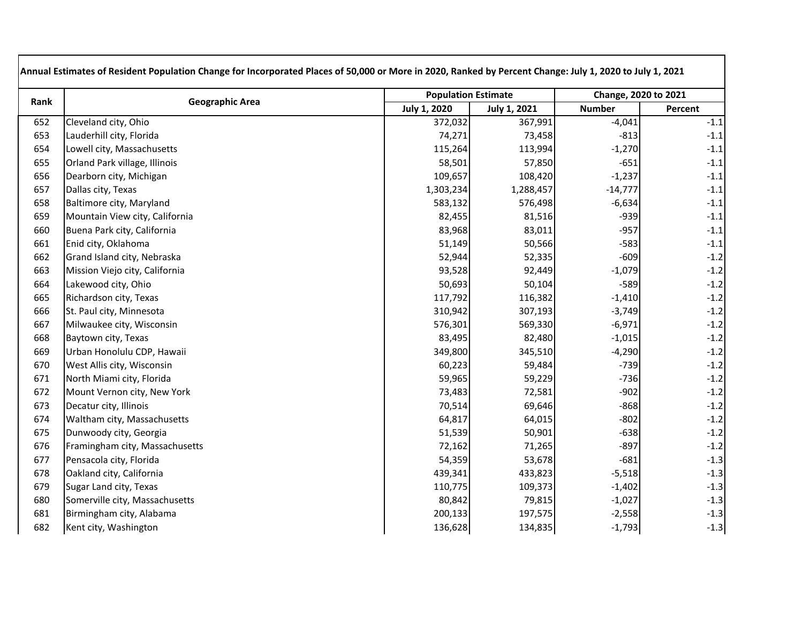| Rank | <b>Geographic Area</b>         |                     | <b>Population Estimate</b> |               | Change, 2020 to 2021 |  |
|------|--------------------------------|---------------------|----------------------------|---------------|----------------------|--|
|      |                                | <b>July 1, 2020</b> | <b>July 1, 2021</b>        | <b>Number</b> | Percent              |  |
| 652  | Cleveland city, Ohio           | 372,032             | 367,991                    | $-4,041$      | $-1.1$               |  |
| 653  | Lauderhill city, Florida       | 74,271              | 73,458                     | $-813$        | $-1.1$               |  |
| 654  | Lowell city, Massachusetts     | 115,264             | 113,994                    | $-1,270$      | $-1.1$               |  |
| 655  | Orland Park village, Illinois  | 58,501              | 57,850                     | $-651$        | $-1.1$               |  |
| 656  | Dearborn city, Michigan        | 109,657             | 108,420                    | $-1,237$      | $-1.1$               |  |
| 657  | Dallas city, Texas             | 1,303,234           | 1,288,457                  | $-14,777$     | $-1.1$               |  |
| 658  | Baltimore city, Maryland       | 583,132             | 576,498                    | $-6,634$      | $-1.1$               |  |
| 659  | Mountain View city, California | 82,455              | 81,516                     | $-939$        | $-1.1$               |  |
| 660  | Buena Park city, California    | 83,968              | 83,011                     | $-957$        | $-1.1$               |  |
| 661  | Enid city, Oklahoma            | 51,149              | 50,566                     | $-583$        | $-1.1$               |  |
| 662  | Grand Island city, Nebraska    | 52,944              | 52,335                     | $-609$        | $-1.2$               |  |
| 663  | Mission Viejo city, California | 93,528              | 92,449                     | $-1,079$      | $-1.2$               |  |
| 664  | Lakewood city, Ohio            | 50,693              | 50,104                     | $-589$        | $-1.2$               |  |
| 665  | Richardson city, Texas         | 117,792             | 116,382                    | $-1,410$      | $-1.2$               |  |
| 666  | St. Paul city, Minnesota       | 310,942             | 307,193                    | $-3,749$      | $-1.2$               |  |
| 667  | Milwaukee city, Wisconsin      | 576,301             | 569,330                    | $-6,971$      | $-1.2$               |  |
| 668  | Baytown city, Texas            | 83,495              | 82,480                     | $-1,015$      | $-1.2$               |  |
| 669  | Urban Honolulu CDP, Hawaii     | 349,800             | 345,510                    | $-4,290$      | $-1.2$               |  |
| 670  | West Allis city, Wisconsin     | 60,223              | 59,484                     | $-739$        | $-1.2$               |  |
| 671  | North Miami city, Florida      | 59,965              | 59,229                     | $-736$        | $-1.2$               |  |
| 672  | Mount Vernon city, New York    | 73,483              | 72,581                     | $-902$        | $-1.2$               |  |
| 673  | Decatur city, Illinois         | 70,514              | 69,646                     | $-868$        | $-1.2$               |  |
| 674  | Waltham city, Massachusetts    | 64,817              | 64,015                     | $-802$        | $-1.2$               |  |
| 675  | Dunwoody city, Georgia         | 51,539              | 50,901                     | $-638$        | $-1.2$               |  |
| 676  | Framingham city, Massachusetts | 72,162              | 71,265                     | $-897$        | $-1.2$               |  |
| 677  | Pensacola city, Florida        | 54,359              | 53,678                     | $-681$        | $-1.3$               |  |
| 678  | Oakland city, California       | 439,341             | 433,823                    | $-5,518$      | $-1.3$               |  |
| 679  | Sugar Land city, Texas         | 110,775             | 109,373                    | $-1,402$      | $-1.3$               |  |
| 680  | Somerville city, Massachusetts | 80,842              | 79,815                     | $-1,027$      | $-1.3$               |  |
| 681  | Birmingham city, Alabama       | 200,133             | 197,575                    | $-2,558$      | $-1.3$               |  |
| 682  | Kent city, Washington          | 136,628             | 134,835                    | $-1,793$      | $-1.3$               |  |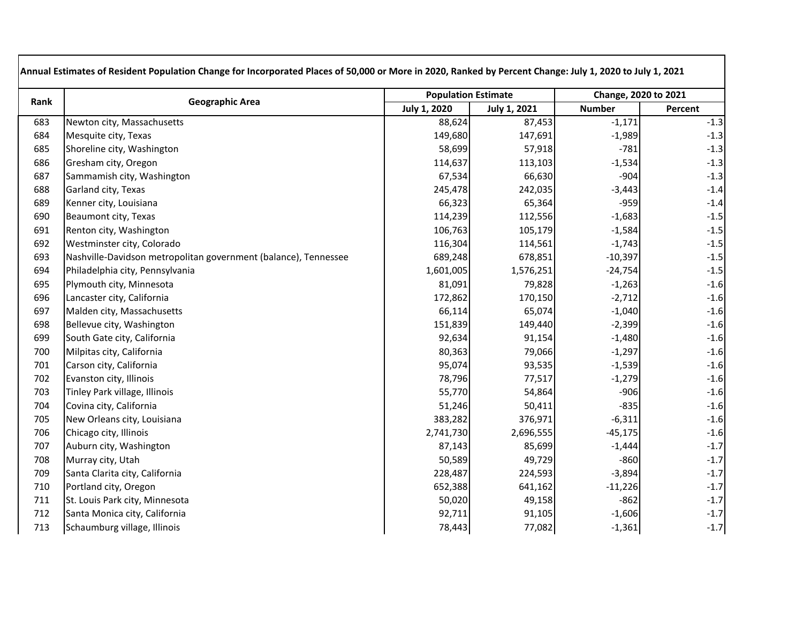| Rank | <b>Geographic Area</b>                                          |                     | <b>Population Estimate</b> |               | Change, 2020 to 2021 |  |
|------|-----------------------------------------------------------------|---------------------|----------------------------|---------------|----------------------|--|
|      |                                                                 | <b>July 1, 2020</b> | <b>July 1, 2021</b>        | <b>Number</b> | Percent              |  |
| 683  | Newton city, Massachusetts                                      | 88,624              | 87,453                     | $-1,171$      | $-1.3$               |  |
| 684  | Mesquite city, Texas                                            | 149,680             | 147,691                    | $-1,989$      | $-1.3$               |  |
| 685  | Shoreline city, Washington                                      | 58,699              | 57,918                     | $-781$        | $-1.3$               |  |
| 686  | Gresham city, Oregon                                            | 114,637             | 113,103                    | $-1,534$      | $-1.3$               |  |
| 687  | Sammamish city, Washington                                      | 67,534              | 66,630                     | $-904$        | $-1.3$               |  |
| 688  | Garland city, Texas                                             | 245,478             | 242,035                    | $-3,443$      | $-1.4$               |  |
| 689  | Kenner city, Louisiana                                          | 66,323              | 65,364                     | $-959$        | $-1.4$               |  |
| 690  | Beaumont city, Texas                                            | 114,239             | 112,556                    | $-1,683$      | $-1.5$               |  |
| 691  | Renton city, Washington                                         | 106,763             | 105,179                    | $-1,584$      | $-1.5$               |  |
| 692  | Westminster city, Colorado                                      | 116,304             | 114,561                    | $-1,743$      | $-1.5$               |  |
| 693  | Nashville-Davidson metropolitan government (balance), Tennessee | 689,248             | 678,851                    | $-10,397$     | $-1.5$               |  |
| 694  | Philadelphia city, Pennsylvania                                 | 1,601,005           | 1,576,251                  | $-24,754$     | $-1.5$               |  |
| 695  | Plymouth city, Minnesota                                        | 81,091              | 79,828                     | $-1,263$      | $-1.6$               |  |
| 696  | Lancaster city, California                                      | 172,862             | 170,150                    | $-2,712$      | $-1.6$               |  |
| 697  | Malden city, Massachusetts                                      | 66,114              | 65,074                     | $-1,040$      | $-1.6$               |  |
| 698  | Bellevue city, Washington                                       | 151,839             | 149,440                    | $-2,399$      | $-1.6$               |  |
| 699  | South Gate city, California                                     | 92,634              | 91,154                     | $-1,480$      | $-1.6$               |  |
| 700  | Milpitas city, California                                       | 80,363              | 79,066                     | $-1,297$      | $-1.6$               |  |
| 701  | Carson city, California                                         | 95,074              | 93,535                     | $-1,539$      | $-1.6$               |  |
| 702  | Evanston city, Illinois                                         | 78,796              | 77,517                     | $-1,279$      | $-1.6$               |  |
| 703  | Tinley Park village, Illinois                                   | 55,770              | 54,864                     | $-906$        | $-1.6$               |  |
| 704  | Covina city, California                                         | 51,246              | 50,411                     | $-835$        | $-1.6$               |  |
| 705  | New Orleans city, Louisiana                                     | 383,282             | 376,971                    | $-6,311$      | $-1.6$               |  |
| 706  | Chicago city, Illinois                                          | 2,741,730           | 2,696,555                  | $-45,175$     | $-1.6$               |  |
| 707  | Auburn city, Washington                                         | 87,143              | 85,699                     | $-1,444$      | $-1.7$               |  |
| 708  | Murray city, Utah                                               | 50,589              | 49,729                     | $-860$        | $-1.7$               |  |
| 709  | Santa Clarita city, California                                  | 228,487             | 224,593                    | $-3,894$      | $-1.7$               |  |
| 710  | Portland city, Oregon                                           | 652,388             | 641,162                    | $-11,226$     | $-1.7$               |  |
| 711  | St. Louis Park city, Minnesota                                  | 50,020              | 49,158                     | $-862$        | $-1.7$               |  |
| 712  | Santa Monica city, California                                   | 92,711              | 91,105                     | $-1,606$      | $-1.7$               |  |
| 713  | Schaumburg village, Illinois                                    | 78,443              | 77,082                     | $-1,361$      | $-1.7$               |  |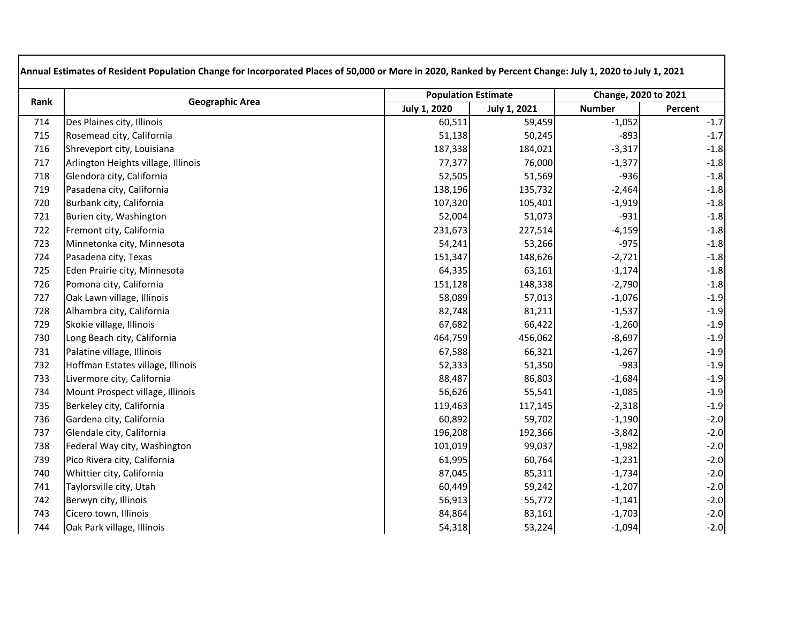| Rank | <b>Geographic Area</b>              |                     | <b>Population Estimate</b> |               | Change, 2020 to 2021 |  |
|------|-------------------------------------|---------------------|----------------------------|---------------|----------------------|--|
|      |                                     | <b>July 1, 2020</b> | <b>July 1, 2021</b>        | <b>Number</b> | Percent              |  |
| 714  | Des Plaines city, Illinois          | 60,511              | 59,459                     | $-1,052$      | $-1.7$               |  |
| 715  | Rosemead city, California           | 51,138              | 50,245                     | $-893$        | $-1.7$               |  |
| 716  | Shreveport city, Louisiana          | 187,338             | 184,021                    | $-3,317$      | $-1.8$               |  |
| 717  | Arlington Heights village, Illinois | 77,377              | 76,000                     | $-1,377$      | $-1.8$               |  |
| 718  | Glendora city, California           | 52,505              | 51,569                     | $-936$        | $-1.8$               |  |
| 719  | Pasadena city, California           | 138,196             | 135,732                    | $-2,464$      | $-1.8$               |  |
| 720  | Burbank city, California            | 107,320             | 105,401                    | $-1,919$      | $-1.8$               |  |
| 721  | Burien city, Washington             | 52,004              | 51,073                     | $-931$        | $-1.8$               |  |
| 722  | Fremont city, California            | 231,673             | 227,514                    | $-4,159$      | $-1.8$               |  |
| 723  | Minnetonka city, Minnesota          | 54,241              | 53,266                     | $-975$        | $-1.8$               |  |
| 724  | Pasadena city, Texas                | 151,347             | 148,626                    | $-2,721$      | $-1.8$               |  |
| 725  | Eden Prairie city, Minnesota        | 64,335              | 63,161                     | $-1,174$      | $-1.8$               |  |
| 726  | Pomona city, California             | 151,128             | 148,338                    | $-2,790$      | $-1.8$               |  |
| 727  | Oak Lawn village, Illinois          | 58,089              | 57,013                     | $-1,076$      | $-1.9$               |  |
| 728  | Alhambra city, California           | 82,748              | 81,211                     | $-1,537$      | $-1.9$               |  |
| 729  | Skokie village, Illinois            | 67,682              | 66,422                     | $-1,260$      | $-1.9$               |  |
| 730  | Long Beach city, California         | 464,759             | 456,062                    | $-8,697$      | $-1.9$               |  |
| 731  | Palatine village, Illinois          | 67,588              | 66,321                     | $-1,267$      | $-1.9$               |  |
| 732  | Hoffman Estates village, Illinois   | 52,333              | 51,350                     | $-983$        | $-1.9$               |  |
| 733  | Livermore city, California          | 88,487              | 86,803                     | $-1,684$      | $-1.9$               |  |
| 734  | Mount Prospect village, Illinois    | 56,626              | 55,541                     | $-1,085$      | $-1.9$               |  |
| 735  | Berkeley city, California           | 119,463             | 117,145                    | $-2,318$      | $-1.9$               |  |
| 736  | Gardena city, California            | 60,892              | 59,702                     | $-1,190$      | $-2.0$               |  |
| 737  | Glendale city, California           | 196,208             | 192,366                    | $-3,842$      | $-2.0$               |  |
| 738  | Federal Way city, Washington        | 101,019             | 99,037                     | $-1,982$      | $-2.0$               |  |
| 739  | Pico Rivera city, California        | 61,995              | 60,764                     | $-1,231$      | $-2.0$               |  |
| 740  | Whittier city, California           | 87,045              | 85,311                     | $-1,734$      | $-2.0$               |  |
| 741  | Taylorsville city, Utah             | 60,449              | 59,242                     | $-1,207$      | $-2.0$               |  |
| 742  | Berwyn city, Illinois               | 56,913              | 55,772                     | $-1,141$      | $-2.0$               |  |
| 743  | Cicero town, Illinois               | 84,864              | 83,161                     | $-1,703$      | $-2.0$               |  |
| 744  | Oak Park village, Illinois          | 54,318              | 53,224                     | $-1,094$      | $-2.0$               |  |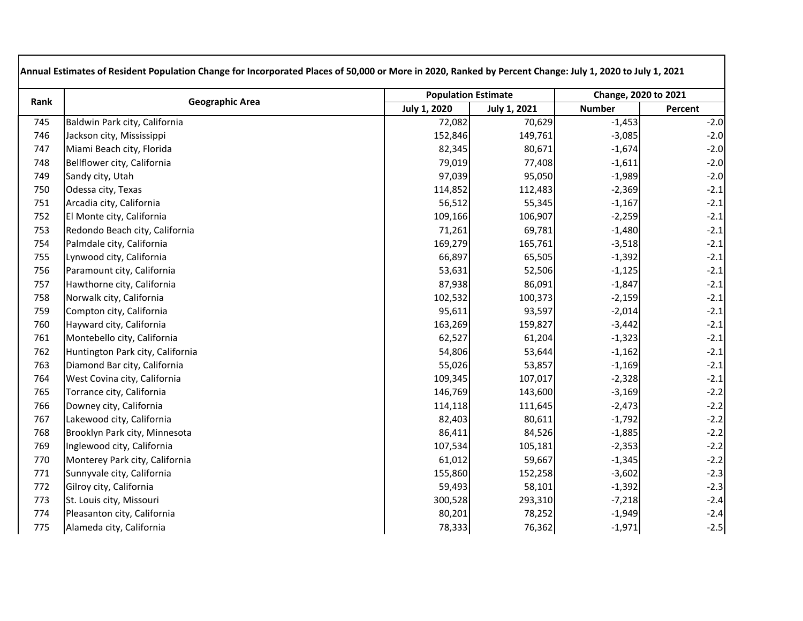| Rank | <b>Geographic Area</b>           | <b>Population Estimate</b> |                     | Change, 2020 to 2021 |         |
|------|----------------------------------|----------------------------|---------------------|----------------------|---------|
|      |                                  | <b>July 1, 2020</b>        | <b>July 1, 2021</b> | <b>Number</b>        | Percent |
| 745  | Baldwin Park city, California    | 72,082                     | 70,629              | $-1,453$             | $-2.0$  |
| 746  | Jackson city, Mississippi        | 152,846                    | 149,761             | $-3,085$             | $-2.0$  |
| 747  | Miami Beach city, Florida        | 82,345                     | 80,671              | $-1,674$             | $-2.0$  |
| 748  | Bellflower city, California      | 79,019                     | 77,408              | $-1,611$             | $-2.0$  |
| 749  | Sandy city, Utah                 | 97,039                     | 95,050              | $-1,989$             | $-2.0$  |
| 750  | Odessa city, Texas               | 114,852                    | 112,483             | $-2,369$             | $-2.1$  |
| 751  | Arcadia city, California         | 56,512                     | 55,345              | $-1,167$             | $-2.1$  |
| 752  | El Monte city, California        | 109,166                    | 106,907             | $-2,259$             | $-2.1$  |
| 753  | Redondo Beach city, California   | 71,261                     | 69,781              | $-1,480$             | $-2.1$  |
| 754  | Palmdale city, California        | 169,279                    | 165,761             | $-3,518$             | $-2.1$  |
| 755  | Lynwood city, California         | 66,897                     | 65,505              | $-1,392$             | $-2.1$  |
| 756  | Paramount city, California       | 53,631                     | 52,506              | $-1,125$             | $-2.1$  |
| 757  | Hawthorne city, California       | 87,938                     | 86,091              | $-1,847$             | $-2.1$  |
| 758  | Norwalk city, California         | 102,532                    | 100,373             | $-2,159$             | $-2.1$  |
| 759  | Compton city, California         | 95,611                     | 93,597              | $-2,014$             | $-2.1$  |
| 760  | Hayward city, California         | 163,269                    | 159,827             | $-3,442$             | $-2.1$  |
| 761  | Montebello city, California      | 62,527                     | 61,204              | $-1,323$             | $-2.1$  |
| 762  | Huntington Park city, California | 54,806                     | 53,644              | $-1,162$             | $-2.1$  |
| 763  | Diamond Bar city, California     | 55,026                     | 53,857              | $-1,169$             | $-2.1$  |
| 764  | West Covina city, California     | 109,345                    | 107,017             | $-2,328$             | $-2.1$  |
| 765  | Torrance city, California        | 146,769                    | 143,600             | $-3,169$             | $-2.2$  |
| 766  | Downey city, California          | 114,118                    | 111,645             | $-2,473$             | $-2.2$  |
| 767  | Lakewood city, California        | 82,403                     | 80,611              | $-1,792$             | $-2.2$  |
| 768  | Brooklyn Park city, Minnesota    | 86,411                     | 84,526              | $-1,885$             | $-2.2$  |
| 769  | Inglewood city, California       | 107,534                    | 105,181             | $-2,353$             | $-2.2$  |
| 770  | Monterey Park city, California   | 61,012                     | 59,667              | $-1,345$             | $-2.2$  |
| 771  | Sunnyvale city, California       | 155,860                    | 152,258             | $-3,602$             | $-2.3$  |
| 772  | Gilroy city, California          | 59,493                     | 58,101              | $-1,392$             | $-2.3$  |
| 773  | St. Louis city, Missouri         | 300,528                    | 293,310             | $-7,218$             | $-2.4$  |
| 774  | Pleasanton city, California      | 80,201                     | 78,252              | $-1,949$             | $-2.4$  |
| 775  | Alameda city, California         | 78,333                     | 76,362              | $-1,971$             | $-2.5$  |